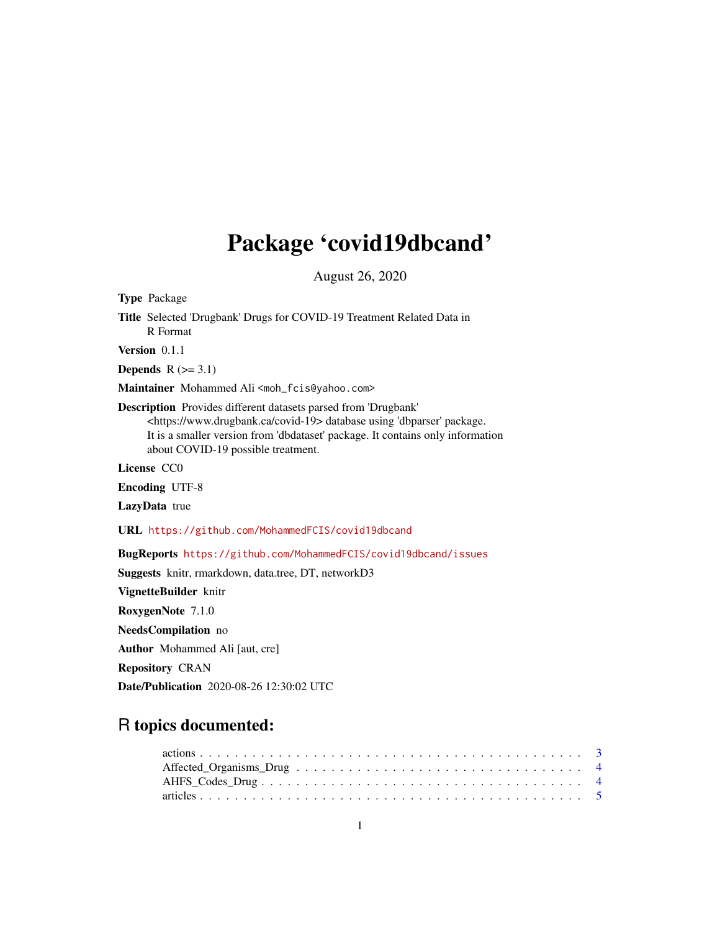# Package 'covid19dbcand'

August 26, 2020

Type Package Title Selected 'Drugbank' Drugs for COVID-19 Treatment Related Data in R Format Version 0.1.1 Depends  $R$  ( $>= 3.1$ ) Maintainer Mohammed Ali <moh\_fcis@yahoo.com> Description Provides different datasets parsed from 'Drugbank' <https://www.drugbank.ca/covid-19> database using 'dbparser' package. It is a smaller version from 'dbdataset' package. It contains only information about COVID-19 possible treatment. License CC0 Encoding UTF-8 LazyData true URL <https://github.com/MohammedFCIS/covid19dbcand> BugReports <https://github.com/MohammedFCIS/covid19dbcand/issues> Suggests knitr, rmarkdown, data.tree, DT, networkD3 VignetteBuilder knitr RoxygenNote 7.1.0 NeedsCompilation no Author Mohammed Ali [aut, cre] Repository CRAN Date/Publication 2020-08-26 12:30:02 UTC

# R topics documented: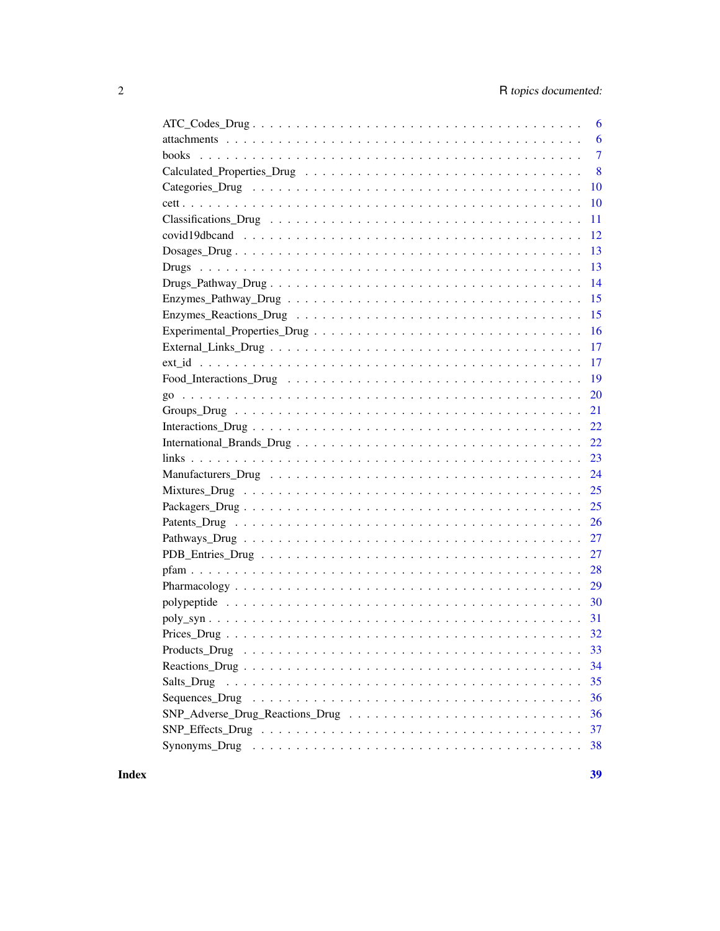|                                                                                                                  | 6              |
|------------------------------------------------------------------------------------------------------------------|----------------|
|                                                                                                                  | 6              |
|                                                                                                                  | $\overline{7}$ |
|                                                                                                                  | 8              |
|                                                                                                                  | 10             |
|                                                                                                                  | 10             |
|                                                                                                                  | 11             |
|                                                                                                                  | 12             |
|                                                                                                                  | 13             |
|                                                                                                                  | 13             |
|                                                                                                                  | 14             |
|                                                                                                                  | 15             |
|                                                                                                                  | 15             |
|                                                                                                                  | 16             |
|                                                                                                                  | 17             |
|                                                                                                                  | 17             |
|                                                                                                                  | 19             |
|                                                                                                                  | 20             |
|                                                                                                                  | 21             |
|                                                                                                                  |                |
|                                                                                                                  | 22             |
|                                                                                                                  | 23             |
|                                                                                                                  | 24             |
|                                                                                                                  | 25             |
|                                                                                                                  | 25             |
|                                                                                                                  | 26             |
|                                                                                                                  | 27             |
|                                                                                                                  |                |
|                                                                                                                  | 28             |
|                                                                                                                  | 29             |
|                                                                                                                  |                |
|                                                                                                                  |                |
|                                                                                                                  |                |
| $Products\_Drug \dots \dots \dots \dots \dots \dots \dots \dots \dots \dots \dots \dots \dots \dots \dots \dots$ | 33             |
|                                                                                                                  | 34             |
| Salts_Drug                                                                                                       | 35             |
|                                                                                                                  | 36             |
|                                                                                                                  | 36             |
|                                                                                                                  | 37             |
|                                                                                                                  | 38             |
|                                                                                                                  |                |

**Index**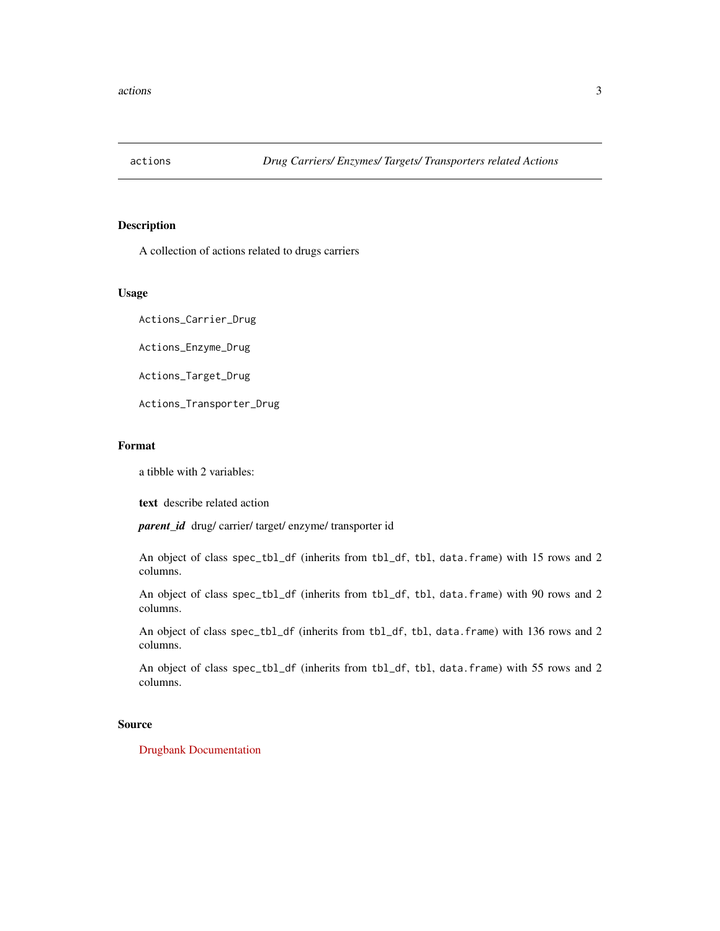<span id="page-2-0"></span>

A collection of actions related to drugs carriers

#### Usage

Actions\_Carrier\_Drug

Actions\_Enzyme\_Drug

Actions\_Target\_Drug

Actions\_Transporter\_Drug

# Format

a tibble with 2 variables:

text describe related action

*parent\_id* drug/ carrier/ target/ enzyme/ transporter id

An object of class spec\_tbl\_df (inherits from tbl\_df, tbl, data.frame) with 15 rows and 2 columns.

An object of class spec\_tbl\_df (inherits from tbl\_df, tbl, data.frame) with 90 rows and 2 columns.

An object of class spec\_tbl\_df (inherits from tbl\_df, tbl, data.frame) with 136 rows and 2 columns.

An object of class spec\_tbl\_df (inherits from tbl\_df, tbl, data.frame) with 55 rows and 2 columns.

# Source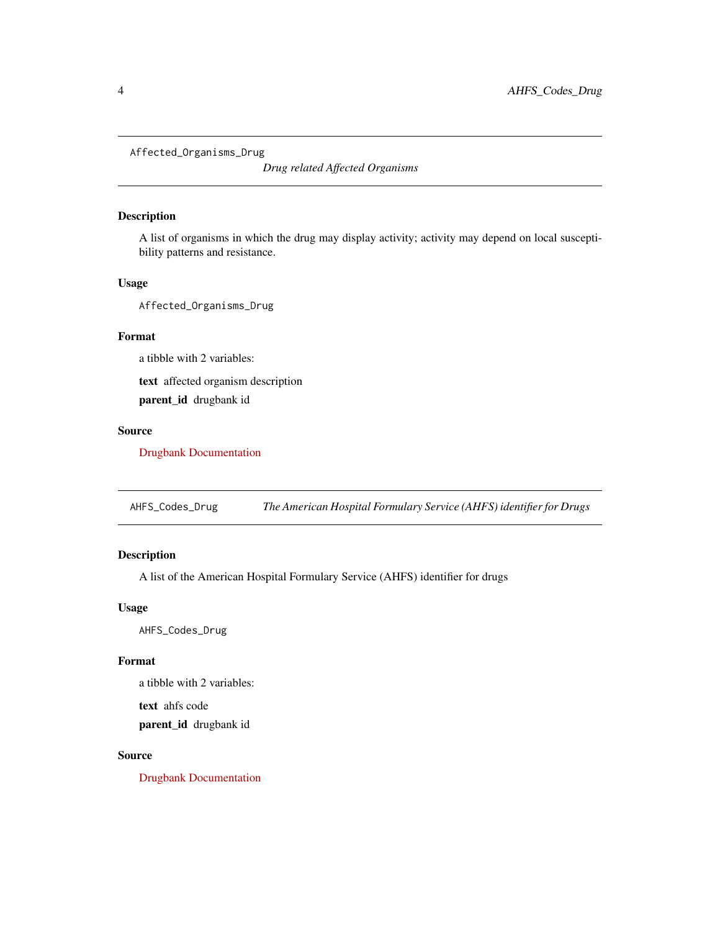<span id="page-3-0"></span>Affected\_Organisms\_Drug

*Drug related Affected Organisms*

# Description

A list of organisms in which the drug may display activity; activity may depend on local susceptibility patterns and resistance.

# Usage

Affected\_Organisms\_Drug

# Format

a tibble with 2 variables:

text affected organism description parent\_id drugbank id

#### Source

[Drugbank Documentation](https://docs.drugbankplus.com/xml/)

AHFS\_Codes\_Drug *The American Hospital Formulary Service (AHFS) identifier for Drugs*

# Description

A list of the American Hospital Formulary Service (AHFS) identifier for drugs

# Usage

AHFS\_Codes\_Drug

#### Format

a tibble with 2 variables:

text ahfs code

parent\_id drugbank id

# Source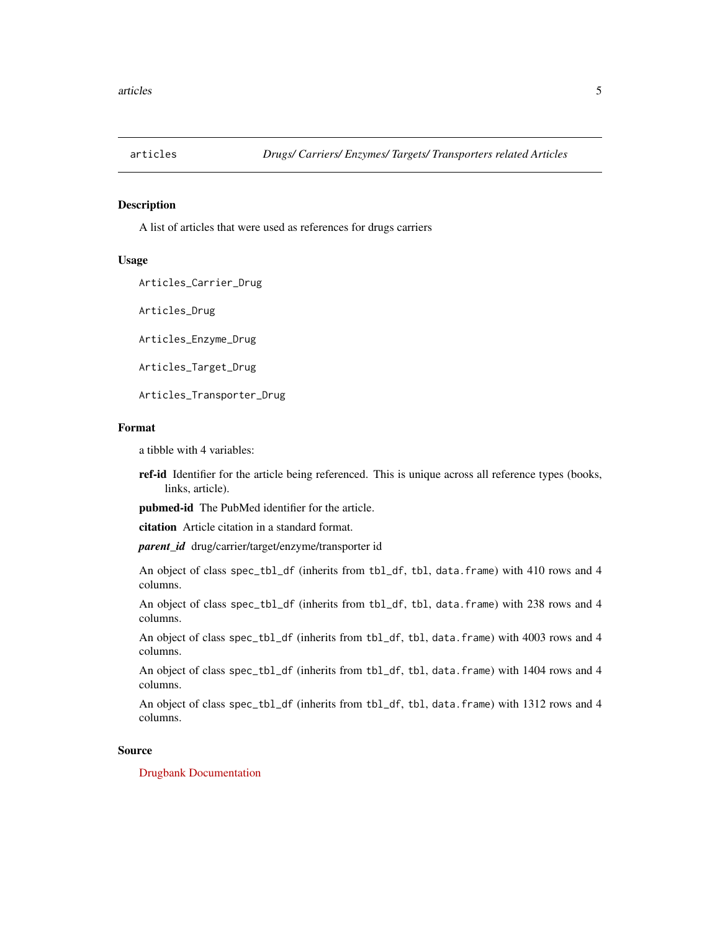<span id="page-4-0"></span>

A list of articles that were used as references for drugs carriers

#### Usage

Articles\_Carrier\_Drug

Articles\_Drug

Articles\_Enzyme\_Drug

Articles\_Target\_Drug

Articles\_Transporter\_Drug

#### Format

a tibble with 4 variables:

ref-id Identifier for the article being referenced. This is unique across all reference types (books, links, article).

pubmed-id The PubMed identifier for the article.

citation Article citation in a standard format.

*parent\_id* drug/carrier/target/enzyme/transporter id

An object of class spec\_tbl\_df (inherits from tbl\_df, tbl, data.frame) with 410 rows and 4 columns.

An object of class spec\_tbl\_df (inherits from tbl\_df, tbl, data.frame) with 238 rows and 4 columns.

An object of class spec\_tbl\_df (inherits from tbl\_df, tbl, data.frame) with 4003 rows and 4 columns.

An object of class spec\_tbl\_df (inherits from tbl\_df, tbl, data.frame) with 1404 rows and 4 columns.

An object of class spec\_tbl\_df (inherits from tbl\_df, tbl, data.frame) with 1312 rows and 4 columns.

#### Source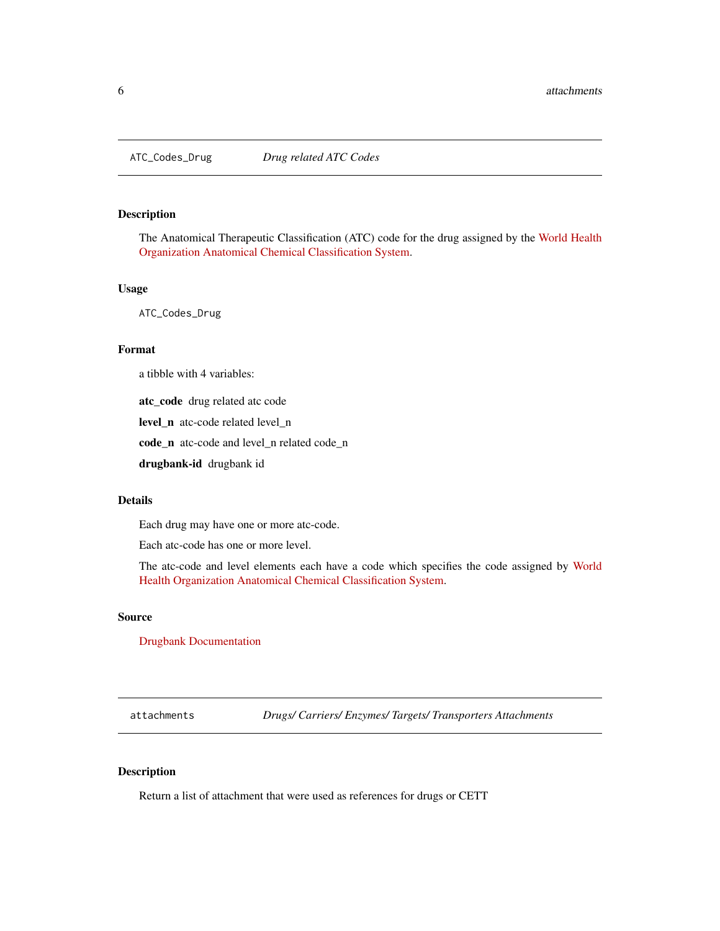<span id="page-5-0"></span>The Anatomical Therapeutic Classification (ATC) code for the drug assigned by the [World Health](https://www.who.int/classifications/atcddd/en/) [Organization Anatomical Chemical Classification System.](https://www.who.int/classifications/atcddd/en/)

#### Usage

ATC\_Codes\_Drug

#### Format

a tibble with 4 variables:

atc\_code drug related atc code

level\_n atc-code related level\_n

code\_n atc-code and level\_n related code\_n

drugbank-id drugbank id

#### Details

Each drug may have one or more atc-code.

Each atc-code has one or more level.

The atc-code and level elements each have a code which specifies the code assigned by [World](https://www.who.int/classifications/atcddd/en/) [Health Organization Anatomical Chemical Classification System.](https://www.who.int/classifications/atcddd/en/)

#### Source

[Drugbank Documentation](https://docs.drugbankplus.com/xml/)

attachments *Drugs/ Carriers/ Enzymes/ Targets/ Transporters Attachments*

#### Description

Return a list of attachment that were used as references for drugs or CETT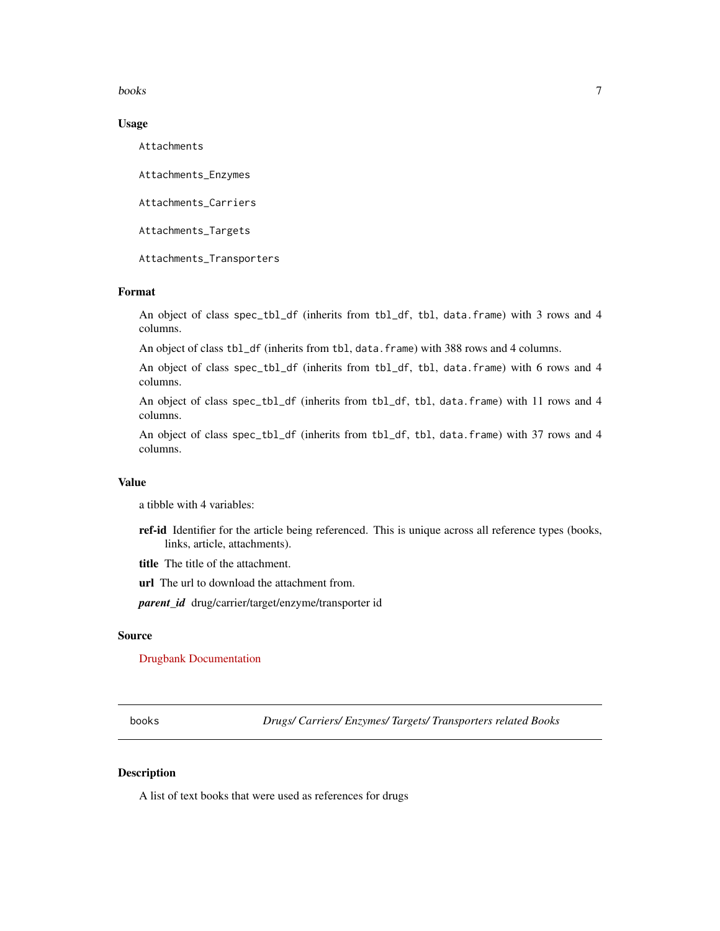#### <span id="page-6-0"></span>books 7

#### Usage

Attachments

Attachments\_Enzymes

Attachments\_Carriers

Attachments\_Targets

Attachments\_Transporters

## Format

An object of class spec\_tbl\_df (inherits from tbl\_df, tbl, data.frame) with 3 rows and 4 columns.

An object of class tbl\_df (inherits from tbl, data.frame) with 388 rows and 4 columns.

An object of class spec\_tbl\_df (inherits from tbl\_df, tbl, data.frame) with 6 rows and 4 columns.

An object of class spec\_tbl\_df (inherits from tbl\_df, tbl, data.frame) with 11 rows and 4 columns.

An object of class spec\_tbl\_df (inherits from tbl\_df, tbl, data.frame) with 37 rows and 4 columns.

#### Value

a tibble with 4 variables:

ref-id Identifier for the article being referenced. This is unique across all reference types (books, links, article, attachments).

title The title of the attachment.

url The url to download the attachment from.

*parent\_id* drug/carrier/target/enzyme/transporter id

#### Source

[Drugbank Documentation](https://docs.drugbankplus.com/xml/)

books *Drugs/ Carriers/ Enzymes/ Targets/ Transporters related Books*

#### Description

A list of text books that were used as references for drugs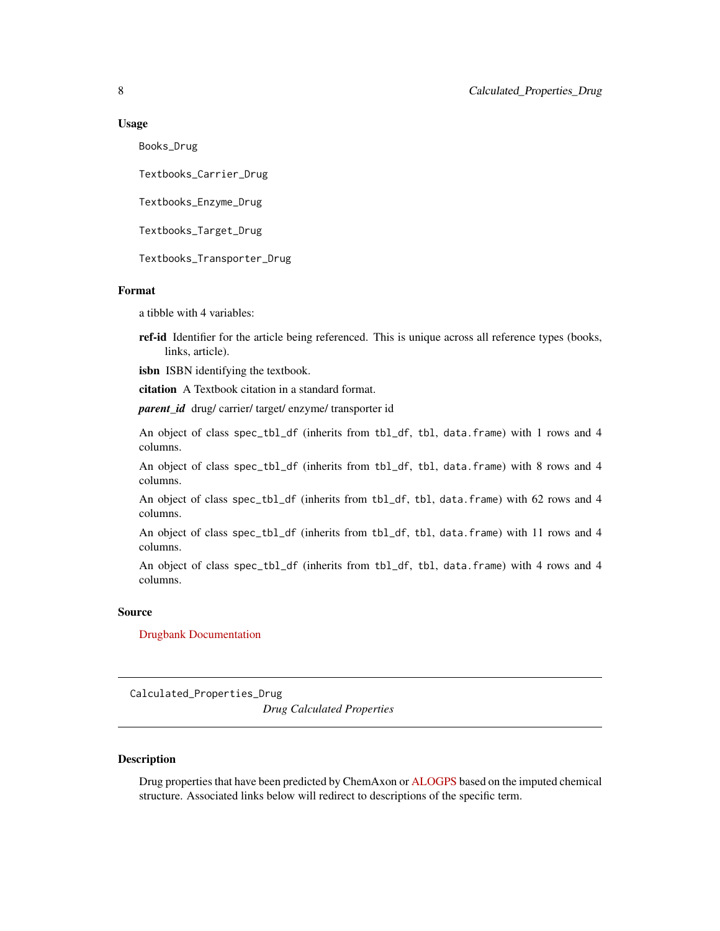#### <span id="page-7-0"></span>Usage

Books\_Drug

Textbooks\_Carrier\_Drug

Textbooks\_Enzyme\_Drug

Textbooks\_Target\_Drug

Textbooks\_Transporter\_Drug

# Format

a tibble with 4 variables:

ref-id Identifier for the article being referenced. This is unique across all reference types (books, links, article).

isbn ISBN identifying the textbook.

citation A Textbook citation in a standard format.

*parent id* drug/ carrier/ target/ enzyme/ transporter id

An object of class spec\_tbl\_df (inherits from tbl\_df, tbl, data.frame) with 1 rows and 4 columns.

An object of class spec\_tbl\_df (inherits from tbl\_df, tbl, data.frame) with 8 rows and 4 columns.

An object of class spec\_tbl\_df (inherits from tbl\_df, tbl, data.frame) with 62 rows and 4 columns.

An object of class spec\_tbl\_df (inherits from tbl\_df, tbl, data.frame) with 11 rows and 4 columns.

An object of class spec\_tbl\_df (inherits from tbl\_df, tbl, data.frame) with 4 rows and 4 columns.

#### Source

[Drugbank Documentation](https://docs.drugbankplus.com/xml/)

Calculated\_Properties\_Drug

*Drug Calculated Properties*

#### Description

Drug properties that have been predicted by ChemAxon or [ALOGPS](http://www.vcclab.org/lab/alogps/) based on the imputed chemical structure. Associated links below will redirect to descriptions of the specific term.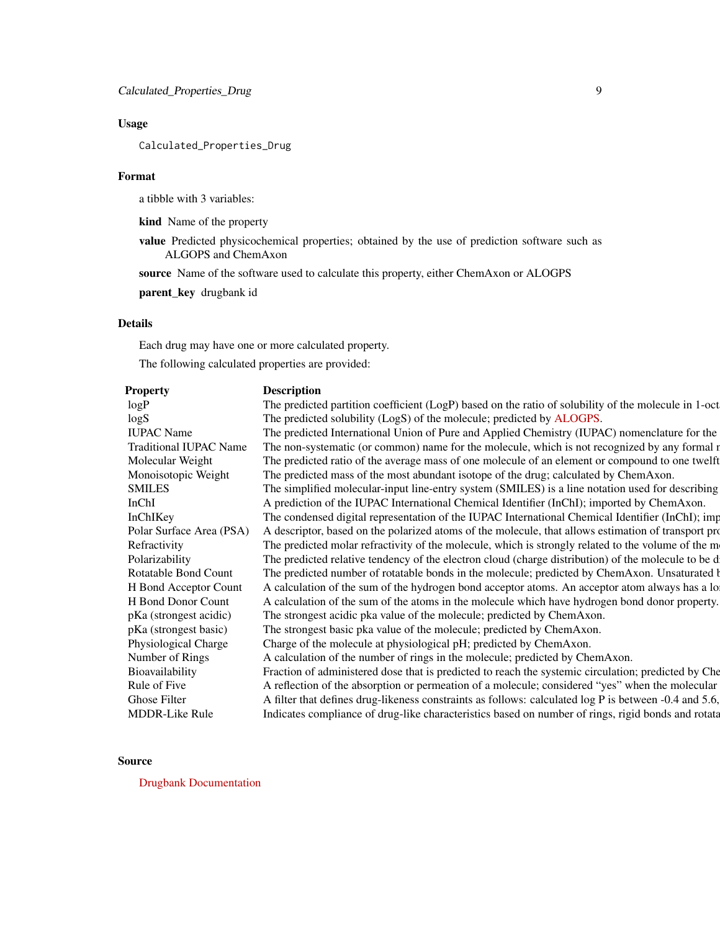# Usage

Calculated\_Properties\_Drug

#### Format

a tibble with 3 variables:

kind Name of the property

value Predicted physicochemical properties; obtained by the use of prediction software such as ALGOPS and ChemAxon

source Name of the software used to calculate this property, either ChemAxon or ALOGPS

parent\_key drugbank id

# Details

Each drug may have one or more calculated property.

The following calculated properties are provided:

| Property                      | <b>Description</b>                                                                                    |
|-------------------------------|-------------------------------------------------------------------------------------------------------|
| logP                          | The predicted partition coefficient (LogP) based on the ratio of solubility of the molecule in 1-oct  |
| log S                         | The predicted solubility (LogS) of the molecule; predicted by ALOGPS.                                 |
| <b>IUPAC</b> Name             | The predicted International Union of Pure and Applied Chemistry (IUPAC) nomenclature for the          |
| <b>Traditional IUPAC Name</b> | The non-systematic (or common) name for the molecule, which is not recognized by any formal r         |
| Molecular Weight              | The predicted ratio of the average mass of one molecule of an element or compound to one twelft       |
| Monoisotopic Weight           | The predicted mass of the most abundant isotope of the drug; calculated by ChemAxon.                  |
| <b>SMILES</b>                 | The simplified molecular-input line-entry system (SMILES) is a line notation used for describing      |
| InChI                         | A prediction of the IUPAC International Chemical Identifier (InChI); imported by ChemAxon.            |
| InChIKey                      | The condensed digital representation of the IUPAC International Chemical Identifier (InChI); imp      |
| Polar Surface Area (PSA)      | A descriptor, based on the polarized atoms of the molecule, that allows estimation of transport pro   |
| Refractivity                  | The predicted molar refractivity of the molecule, which is strongly related to the volume of the m    |
| Polarizability                | The predicted relative tendency of the electron cloud (charge distribution) of the molecule to be d   |
| Rotatable Bond Count          | The predicted number of rotatable bonds in the molecule; predicted by ChemAxon. Unsaturated b         |
| H Bond Acceptor Count         | A calculation of the sum of the hydrogen bond acceptor atoms. An acceptor atom always has a lo        |
| H Bond Donor Count            | A calculation of the sum of the atoms in the molecule which have hydrogen bond donor property.        |
| pKa (strongest acidic)        | The strongest acidic pka value of the molecule; predicted by ChemAxon.                                |
| pKa (strongest basic)         | The strongest basic pka value of the molecule; predicted by ChemAxon.                                 |
| Physiological Charge          | Charge of the molecule at physiological pH; predicted by ChemAxon.                                    |
| Number of Rings               | A calculation of the number of rings in the molecule; predicted by ChemAxon.                          |
| Bioavailability               | Fraction of administered dose that is predicted to reach the systemic circulation; predicted by Che   |
| Rule of Five                  | A reflection of the absorption or permeation of a molecule; considered "yes" when the molecular       |
| Ghose Filter                  | A filter that defines drug-likeness constraints as follows: calculated log P is between -0.4 and 5.6, |
| <b>MDDR-Like Rule</b>         | Indicates compliance of drug-like characteristics based on number of rings, rigid bonds and rotata    |
|                               |                                                                                                       |

## Source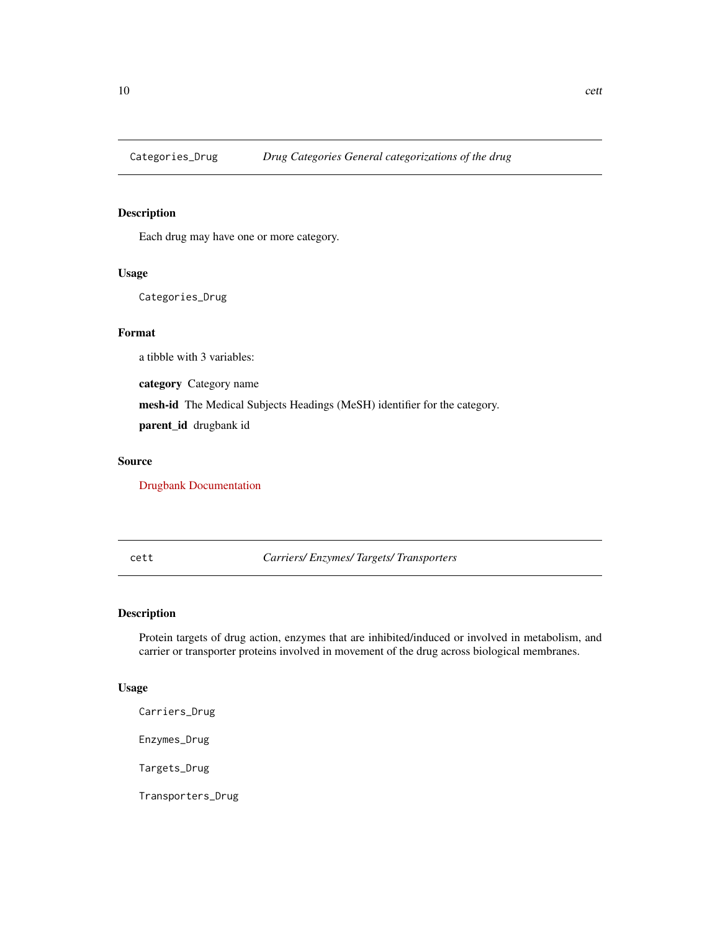<span id="page-9-0"></span>

Each drug may have one or more category.

# Usage

Categories\_Drug

# Format

a tibble with 3 variables:

category Category name

mesh-id The Medical Subjects Headings (MeSH) identifier for the category.

parent\_id drugbank id

# Source

[Drugbank Documentation](https://docs.drugbankplus.com/xml/)

cett *Carriers/ Enzymes/ Targets/ Transporters*

# Description

Protein targets of drug action, enzymes that are inhibited/induced or involved in metabolism, and carrier or transporter proteins involved in movement of the drug across biological membranes.

#### Usage

Carriers\_Drug

Enzymes\_Drug

Targets\_Drug

Transporters\_Drug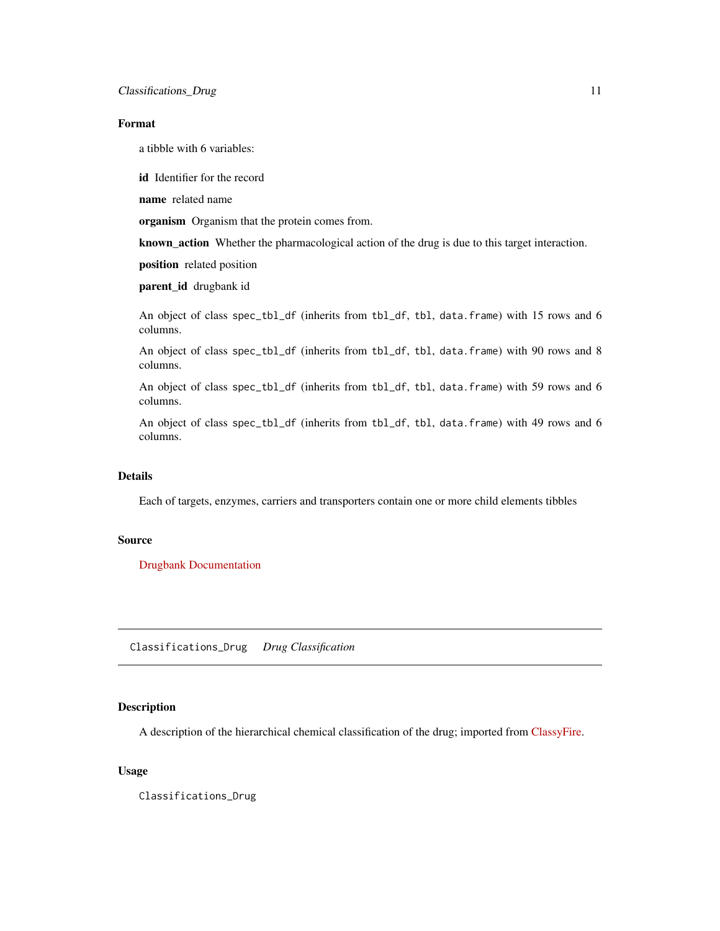# <span id="page-10-0"></span>Format

a tibble with 6 variables:

id Identifier for the record

name related name

organism Organism that the protein comes from.

known\_action Whether the pharmacological action of the drug is due to this target interaction.

position related position

parent\_id drugbank id

An object of class spec\_tbl\_df (inherits from tbl\_df, tbl, data.frame) with 15 rows and 6 columns.

An object of class spec\_tbl\_df (inherits from tbl\_df, tbl, data.frame) with 90 rows and 8 columns.

An object of class spec\_tbl\_df (inherits from tbl\_df, tbl, data.frame) with 59 rows and 6 columns.

An object of class spec\_tbl\_df (inherits from tbl\_df, tbl, data.frame) with 49 rows and 6 columns.

# **Details**

Each of targets, enzymes, carriers and transporters contain one or more child elements tibbles

### Source

[Drugbank Documentation](https://docs.drugbankplus.com/xml/)

Classifications\_Drug *Drug Classification*

## Description

A description of the hierarchical chemical classification of the drug; imported from [ClassyFire.](http://classyfire.wishartlab.com/)

#### Usage

Classifications\_Drug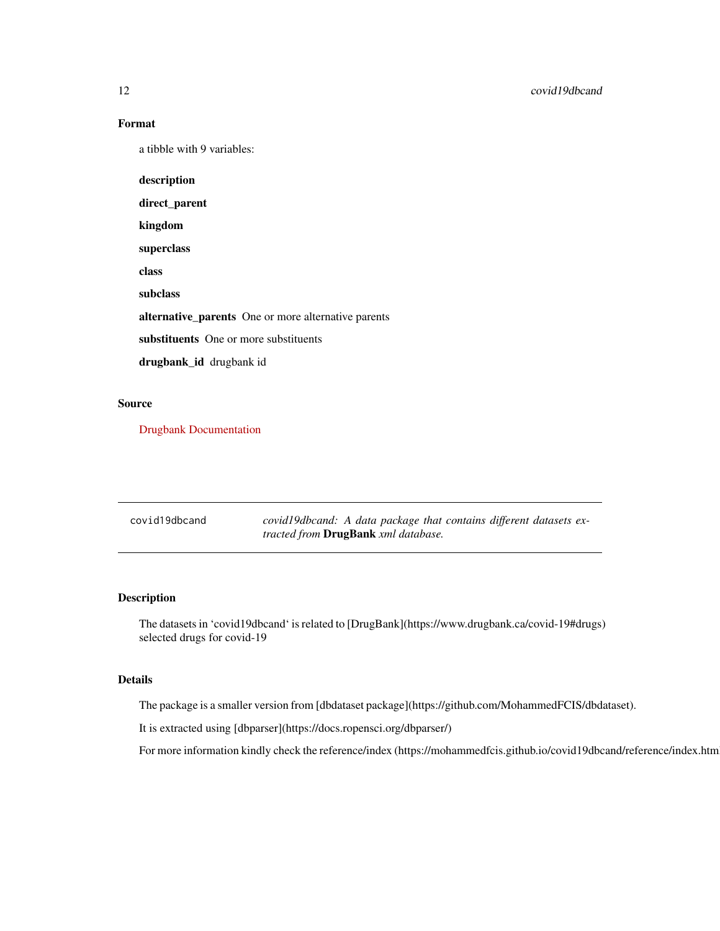# Format

a tibble with 9 variables:

description direct\_parent kingdom superclass class subclass alternative\_parents One or more alternative parents substituents One or more substituents drugbank\_id drugbank id

# Source

[Drugbank Documentation](https://docs.drugbankplus.com/xml/)

| covid19dbcand | covid19dbcand: A data package that contains different datasets ex- |
|---------------|--------------------------------------------------------------------|
|               | <i>tracted from</i> <b>DrugBank</b> xml database.                  |

# Description

The datasets in 'covid19dbcand' is related to [DrugBank](https://www.drugbank.ca/covid-19#drugs) selected drugs for covid-19

# Details

The package is a smaller version from [dbdataset package](https://github.com/MohammedFCIS/dbdataset).

It is extracted using [dbparser](https://docs.ropensci.org/dbparser/)

For more information kindly check the reference/index (https://mohammedfcis.github.io/covid19dbcand/reference/index.htm

<span id="page-11-0"></span>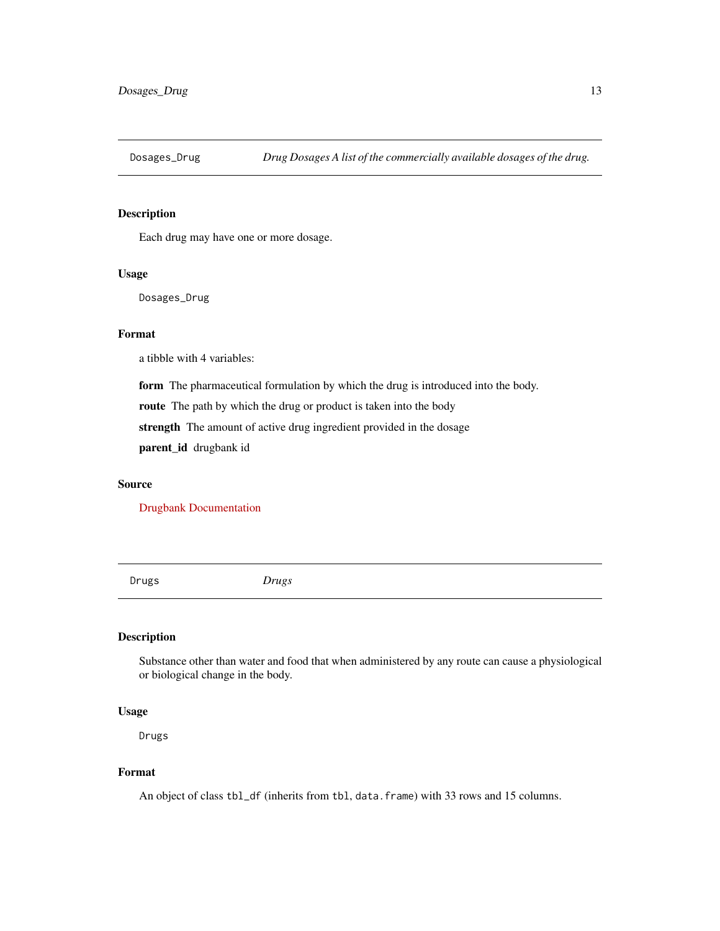<span id="page-12-0"></span>

Each drug may have one or more dosage.

#### Usage

Dosages\_Drug

#### Format

a tibble with 4 variables:

form The pharmaceutical formulation by which the drug is introduced into the body.

route The path by which the drug or product is taken into the body

strength The amount of active drug ingredient provided in the dosage

parent\_id drugbank id

#### Source

[Drugbank Documentation](https://docs.drugbankplus.com/xml/)

Drugs *Drugs*

# Description

Substance other than water and food that when administered by any route can cause a physiological or biological change in the body.

# Usage

Drugs

#### Format

An object of class tbl\_df (inherits from tbl, data.frame) with 33 rows and 15 columns.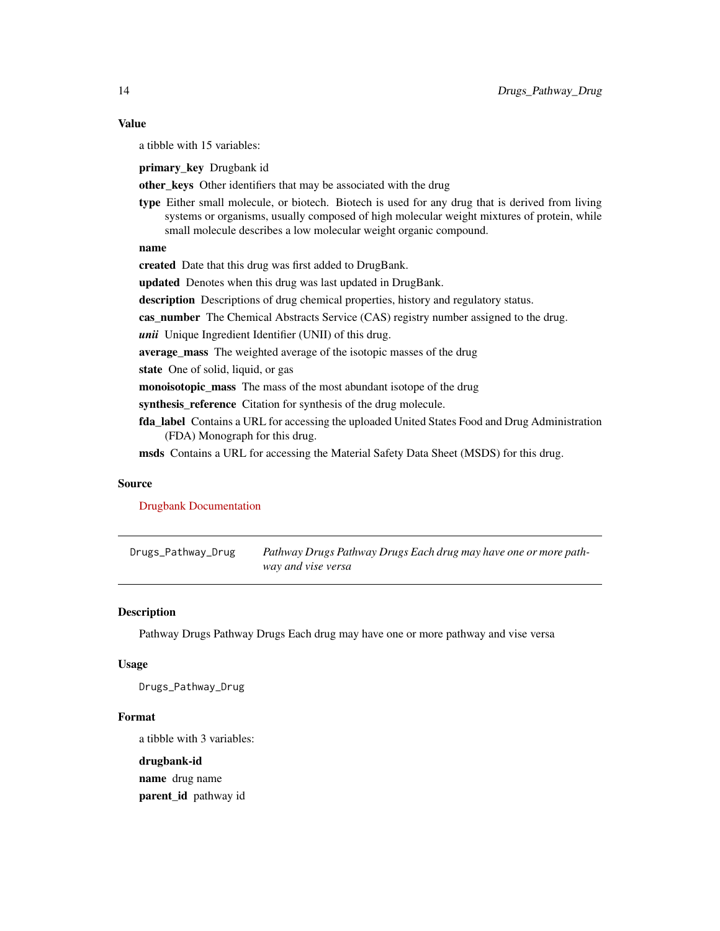#### <span id="page-13-0"></span>Value

a tibble with 15 variables:

primary\_key Drugbank id

other\_keys Other identifiers that may be associated with the drug

type Either small molecule, or biotech. Biotech is used for any drug that is derived from living systems or organisms, usually composed of high molecular weight mixtures of protein, while small molecule describes a low molecular weight organic compound.

#### name

created Date that this drug was first added to DrugBank.

updated Denotes when this drug was last updated in DrugBank.

description Descriptions of drug chemical properties, history and regulatory status.

cas\_number The Chemical Abstracts Service (CAS) registry number assigned to the drug.

*unii* Unique Ingredient Identifier (UNII) of this drug.

average\_mass The weighted average of the isotopic masses of the drug

state One of solid, liquid, or gas

monoisotopic\_mass The mass of the most abundant isotope of the drug

synthesis\_reference Citation for synthesis of the drug molecule.

fda label Contains a URL for accessing the uploaded United States Food and Drug Administration (FDA) Monograph for this drug.

msds Contains a URL for accessing the Material Safety Data Sheet (MSDS) for this drug.

#### Source

[Drugbank Documentation](https://docs.drugbankplus.com/xml/)

Drugs\_Pathway\_Drug *Pathway Drugs Pathway Drugs Each drug may have one or more pathway and vise versa*

#### **Description**

Pathway Drugs Pathway Drugs Each drug may have one or more pathway and vise versa

#### Usage

Drugs\_Pathway\_Drug

## Format

a tibble with 3 variables:

drugbank-id name drug name parent\_id pathway id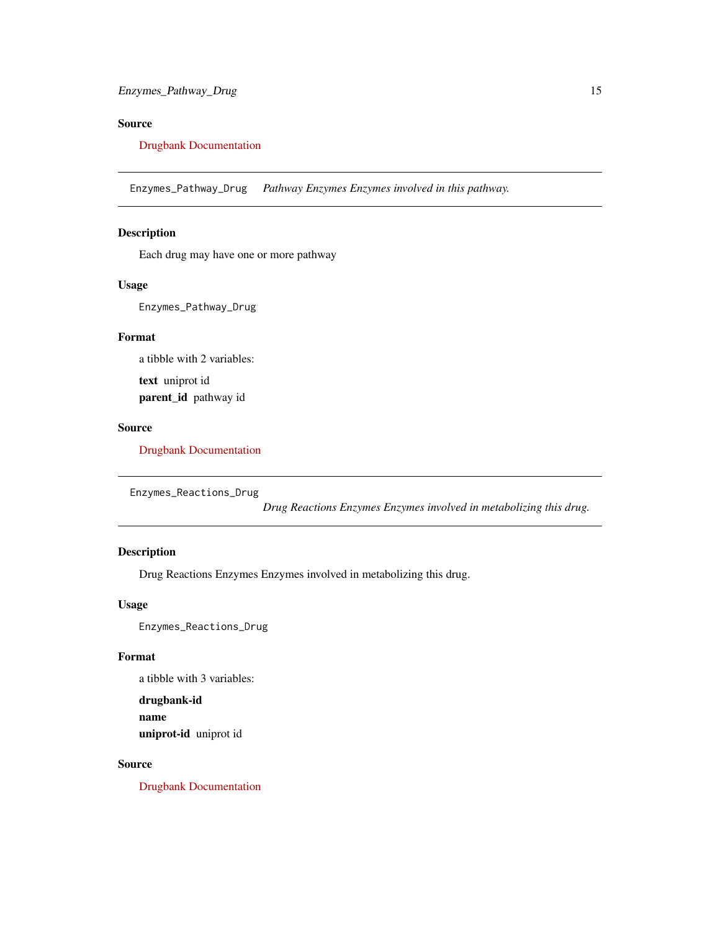# <span id="page-14-0"></span>Source

#### [Drugbank Documentation](https://docs.drugbankplus.com/xml/)

Enzymes\_Pathway\_Drug *Pathway Enzymes Enzymes involved in this pathway.*

# Description

Each drug may have one or more pathway

# Usage

Enzymes\_Pathway\_Drug

# Format

a tibble with 2 variables:

text uniprot id parent\_id pathway id

#### Source

[Drugbank Documentation](https://docs.drugbankplus.com/xml/)

Enzymes\_Reactions\_Drug

*Drug Reactions Enzymes Enzymes involved in metabolizing this drug.*

# Description

Drug Reactions Enzymes Enzymes involved in metabolizing this drug.

## Usage

Enzymes\_Reactions\_Drug

# Format

a tibble with 3 variables:

drugbank-id name uniprot-id uniprot id

# Source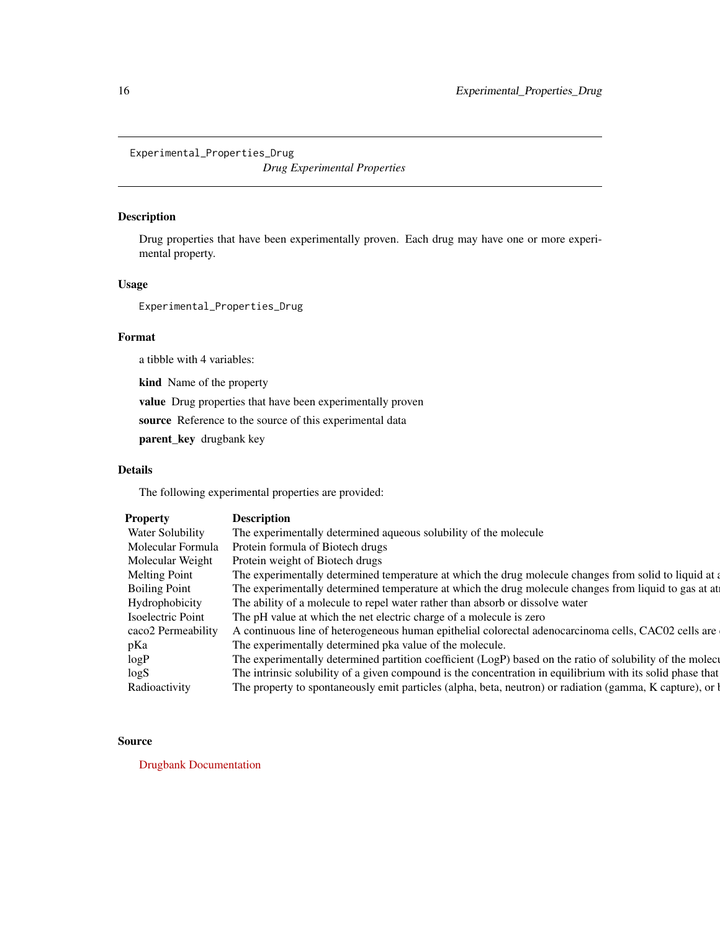<span id="page-15-0"></span>Experimental\_Properties\_Drug

*Drug Experimental Properties*

## Description

Drug properties that have been experimentally proven. Each drug may have one or more experimental property.

# Usage

Experimental\_Properties\_Drug

# Format

a tibble with 4 variables:

kind Name of the property

value Drug properties that have been experimentally proven

source Reference to the source of this experimental data

parent\_key drugbank key

# Details

The following experimental properties are provided:

| <b>Property</b>         | <b>Description</b>                                                                                           |
|-------------------------|--------------------------------------------------------------------------------------------------------------|
| <b>Water Solubility</b> | The experimentally determined aqueous solubility of the molecule                                             |
| Molecular Formula       | Protein formula of Biotech drugs                                                                             |
| Molecular Weight        | Protein weight of Biotech drugs                                                                              |
| Melting Point           | The experimentally determined temperature at which the drug molecule changes from solid to liquid at a       |
| <b>Boiling Point</b>    | The experimentally determined temperature at which the drug molecule changes from liquid to gas at at        |
| Hydrophobicity          | The ability of a molecule to repel water rather than absorb or dissolve water                                |
| Isoelectric Point       | The pH value at which the net electric charge of a molecule is zero                                          |
| caco2 Permeability      | A continuous line of heterogeneous human epithelial colorectal adenocarcinoma cells, CAC02 cells are         |
| pKa                     | The experimentally determined pka value of the molecule.                                                     |
| logP                    | The experimentally determined partition coefficient (LogP) based on the ratio of solubility of the molecular |
| log S                   | The intrinsic solubility of a given compound is the concentration in equilibrium with its solid phase that   |
| Radioactivity           | The property to spontaneously emit particles (alpha, beta, neutron) or radiation (gamma, K capture), or l    |

#### Source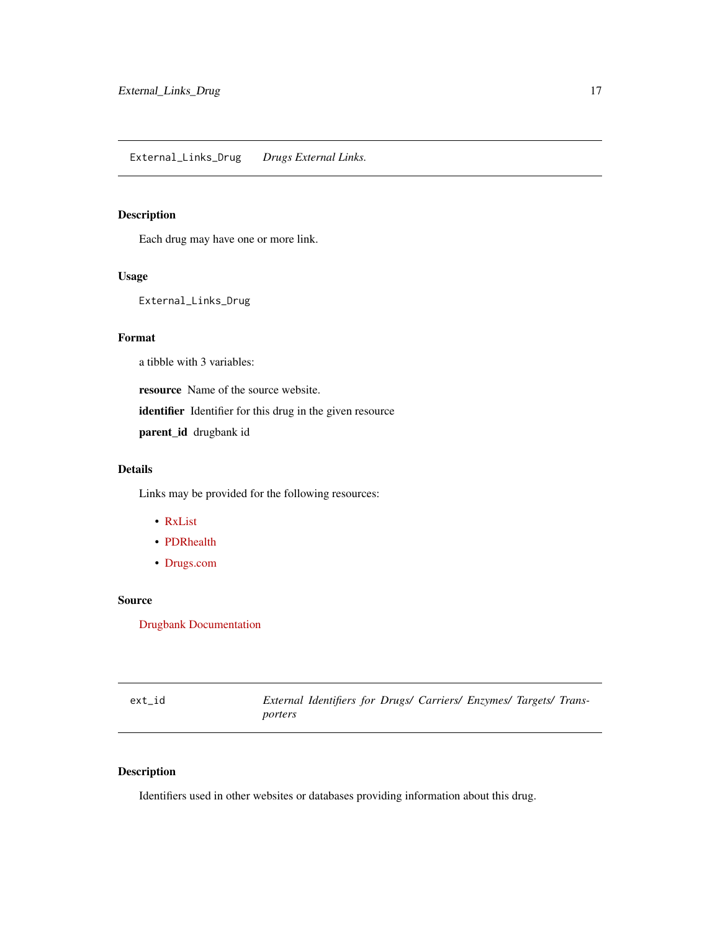<span id="page-16-0"></span>Each drug may have one or more link.

#### Usage

External\_Links\_Drug

# Format

a tibble with 3 variables:

resource Name of the source website.

identifier Identifier for this drug in the given resource

parent\_id drugbank id

# Details

Links may be provided for the following resources:

- [RxList](https://www.rxlist.com/)
- [PDRhealth](https://www.pdr.net/)
- [Drugs.com](https://www.drugs.com/)

## Source

[Drugbank Documentation](https://docs.drugbankplus.com/xml/)

| ext id |         | External Identifiers for Drugs/ Carriers/ Enzymes/ Targets/ Trans- |  |  |  |
|--------|---------|--------------------------------------------------------------------|--|--|--|
|        | porters |                                                                    |  |  |  |

# Description

Identifiers used in other websites or databases providing information about this drug.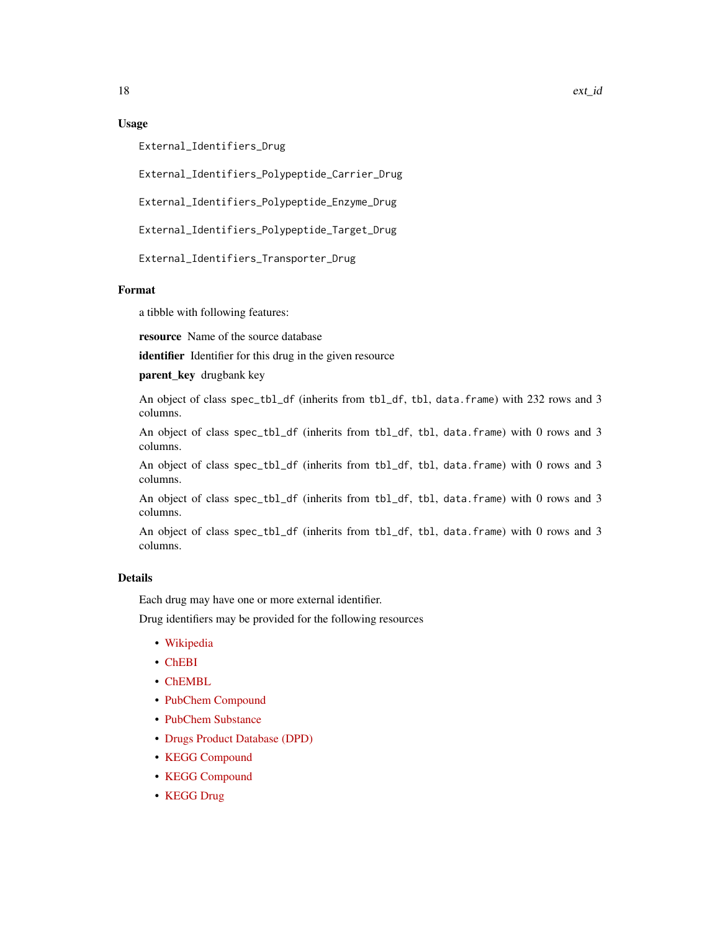## Usage

External\_Identifiers\_Drug

External\_Identifiers\_Polypeptide\_Carrier\_Drug

External\_Identifiers\_Polypeptide\_Enzyme\_Drug

External\_Identifiers\_Polypeptide\_Target\_Drug

External\_Identifiers\_Transporter\_Drug

# Format

a tibble with following features:

resource Name of the source database

identifier Identifier for this drug in the given resource

parent\_key drugbank key

An object of class spec\_tbl\_df (inherits from tbl\_df, tbl, data.frame) with 232 rows and 3 columns.

An object of class spec\_tbl\_df (inherits from tbl\_df, tbl, data.frame) with 0 rows and 3 columns.

An object of class spec\_tbl\_df (inherits from tbl\_df, tbl, data.frame) with 0 rows and 3 columns.

An object of class spec\_tbl\_df (inherits from tbl\_df, tbl, data.frame) with 0 rows and 3 columns.

An object of class spec\_tbl\_df (inherits from tbl\_df, tbl, data.frame) with 0 rows and 3 columns.

# Details

Each drug may have one or more external identifier.

Drug identifiers may be provided for the following resources

- [Wikipedia](https://www.wikipedia.org/)
- [ChEBI](https://www.ebi.ac.uk/chebi/)
- [ChEMBL](https://www.ebi.ac.uk/chembl/)
- [PubChem Compound](https://pubchem.ncbi.nlm.nih.gov/)
- [PubChem Substance](https://pubchem.ncbi.nlm.nih.gov/)
- [Drugs Product Database \(DPD\)](https://health-products.canada.ca/dpd-bdpp/index-eng.jsp)
- [KEGG Compound](https://www.genome.jp/kegg/compound/)
- [KEGG Compound](https://www.genome.jp/kegg/drug/)
- [KEGG Drug](https://www.genome.jp/kegg/drug/)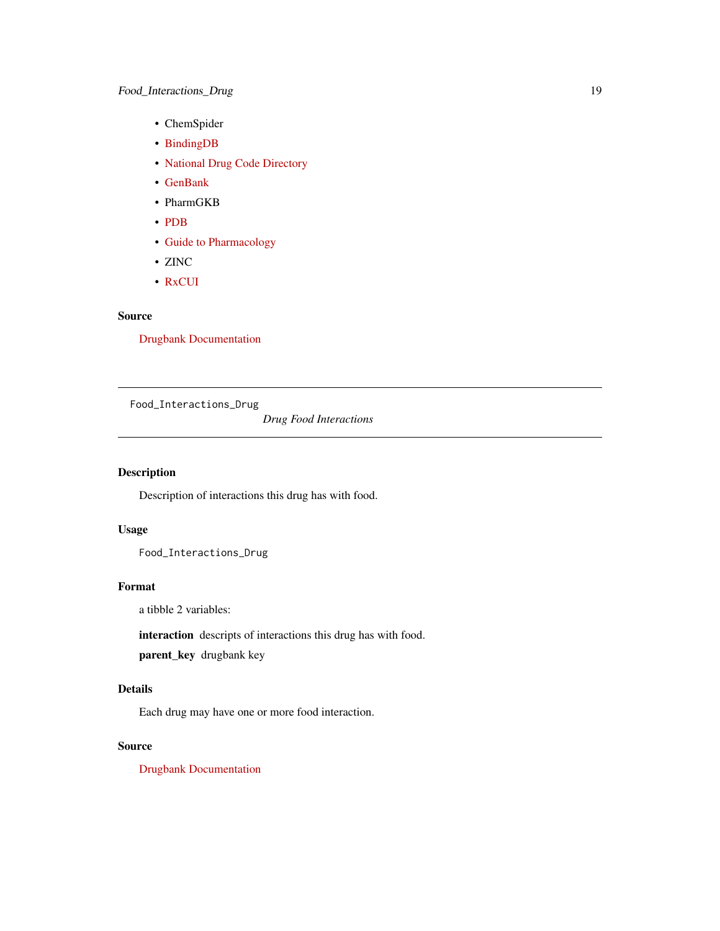- <span id="page-18-0"></span>• ChemSpider
- [BindingDB](https://bindingdb.org/)
- [National Drug Code Directory](https://dailymed.nlm.nih.gov/)
- [GenBank](https://www.ncbi.nlm.nih.gov/genbank/)
- PharmGKB
- [PDB](https://www.rcsb.org/)
- [Guide to Pharmacology](https://www.guidetopharmacology.org/)
- ZINC
- [RxCUI](https://www.nlm.nih.gov/research/umls/rxnorm/index.html)

# Source

[Drugbank Documentation](https://docs.drugbankplus.com/xml/)

Food\_Interactions\_Drug

*Drug Food Interactions*

# Description

Description of interactions this drug has with food.

# Usage

Food\_Interactions\_Drug

#### Format

a tibble 2 variables:

interaction descripts of interactions this drug has with food.

parent\_key drugbank key

# Details

Each drug may have one or more food interaction.

## Source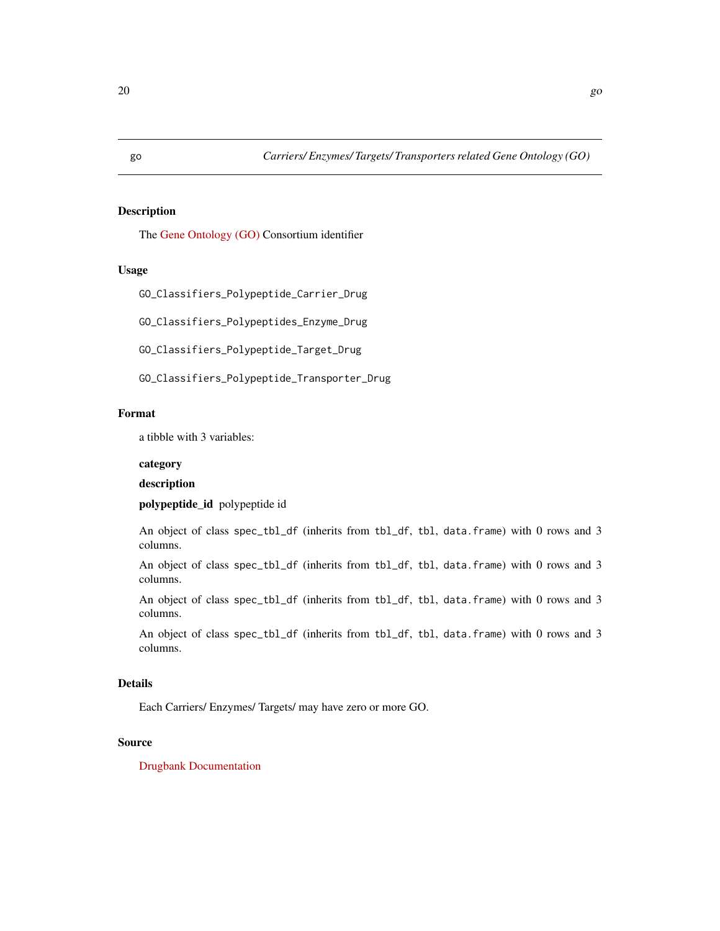<span id="page-19-0"></span>

The [Gene Ontology \(GO\)](http://geneontology.org/) Consortium identifier

# Usage

GO\_Classifiers\_Polypeptide\_Carrier\_Drug

GO\_Classifiers\_Polypeptides\_Enzyme\_Drug

GO\_Classifiers\_Polypeptide\_Target\_Drug

GO\_Classifiers\_Polypeptide\_Transporter\_Drug

## Format

a tibble with 3 variables:

# category

# description

polypeptide\_id polypeptide id

An object of class spec\_tbl\_df (inherits from tbl\_df, tbl, data.frame) with 0 rows and 3 columns.

An object of class spec\_tbl\_df (inherits from tbl\_df, tbl, data.frame) with 0 rows and 3 columns.

An object of class spec\_tbl\_df (inherits from tbl\_df, tbl, data.frame) with 0 rows and 3 columns.

An object of class spec\_tbl\_df (inherits from tbl\_df, tbl, data.frame) with 0 rows and 3 columns.

# Details

Each Carriers/ Enzymes/ Targets/ may have zero or more GO.

# Source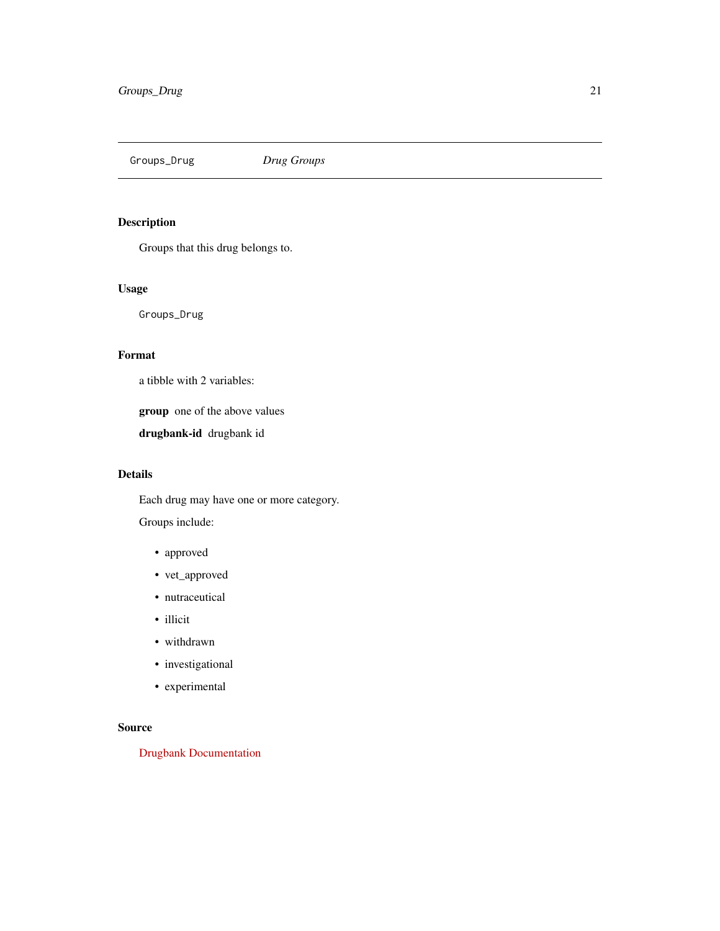<span id="page-20-0"></span>Groups\_Drug *Drug Groups*

# Description

Groups that this drug belongs to.

# Usage

Groups\_Drug

# Format

a tibble with 2 variables:

group one of the above values

drugbank-id drugbank id

#### Details

Each drug may have one or more category.

Groups include:

- approved
- vet\_approved
- nutraceutical
- illicit
- withdrawn
- investigational
- experimental

# Source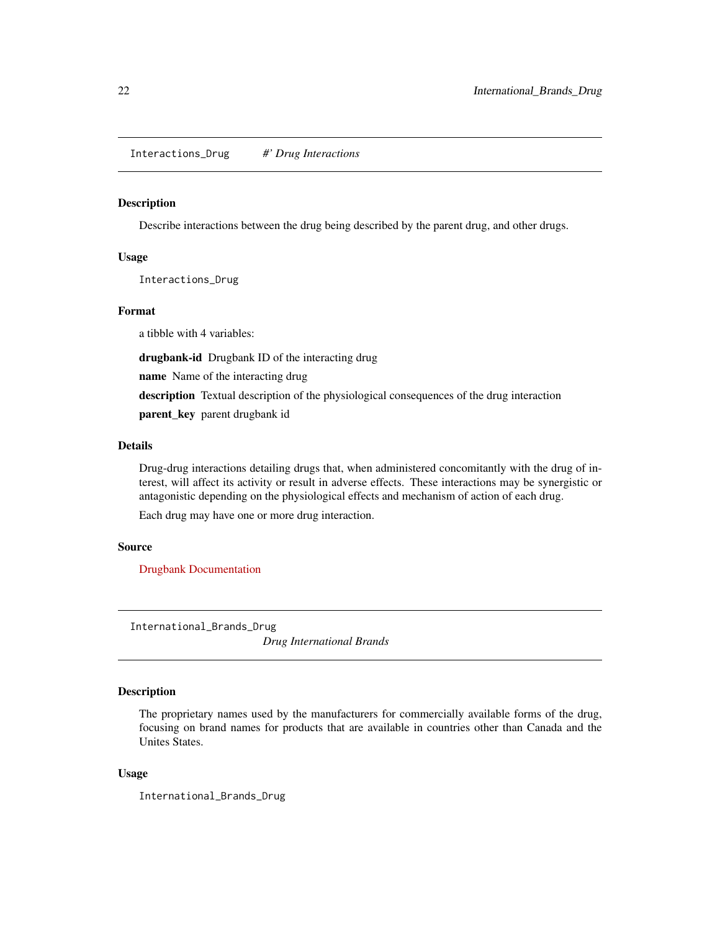<span id="page-21-0"></span>Interactions\_Drug *#' Drug Interactions*

#### Description

Describe interactions between the drug being described by the parent drug, and other drugs.

#### Usage

Interactions\_Drug

#### Format

a tibble with 4 variables:

drugbank-id Drugbank ID of the interacting drug

name Name of the interacting drug

description Textual description of the physiological consequences of the drug interaction

parent\_key parent drugbank id

# Details

Drug-drug interactions detailing drugs that, when administered concomitantly with the drug of interest, will affect its activity or result in adverse effects. These interactions may be synergistic or antagonistic depending on the physiological effects and mechanism of action of each drug.

Each drug may have one or more drug interaction.

#### Source

[Drugbank Documentation](https://docs.drugbankplus.com/xml/)

International\_Brands\_Drug

*Drug International Brands*

#### Description

The proprietary names used by the manufacturers for commercially available forms of the drug, focusing on brand names for products that are available in countries other than Canada and the Unites States.

#### Usage

International\_Brands\_Drug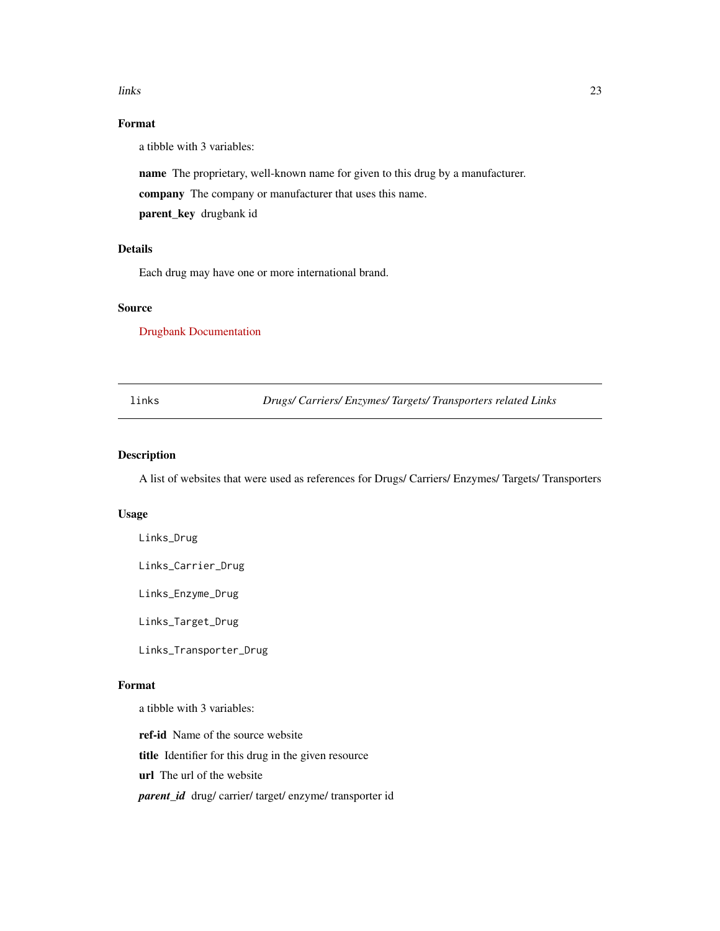#### <span id="page-22-0"></span>links 23

# Format

a tibble with 3 variables:

name The proprietary, well-known name for given to this drug by a manufacturer.

company The company or manufacturer that uses this name.

parent\_key drugbank id

# Details

Each drug may have one or more international brand.

# Source

[Drugbank Documentation](https://docs.drugbankplus.com/xml/)

links *Drugs/ Carriers/ Enzymes/ Targets/ Transporters related Links*

## Description

A list of websites that were used as references for Drugs/ Carriers/ Enzymes/ Targets/ Transporters

#### Usage

Links\_Drug

Links\_Carrier\_Drug

Links\_Enzyme\_Drug

Links\_Target\_Drug

Links\_Transporter\_Drug

#### Format

a tibble with 3 variables:

ref-id Name of the source website

title Identifier for this drug in the given resource

url The url of the website

*parent\_id* drug/ carrier/ target/ enzyme/ transporter id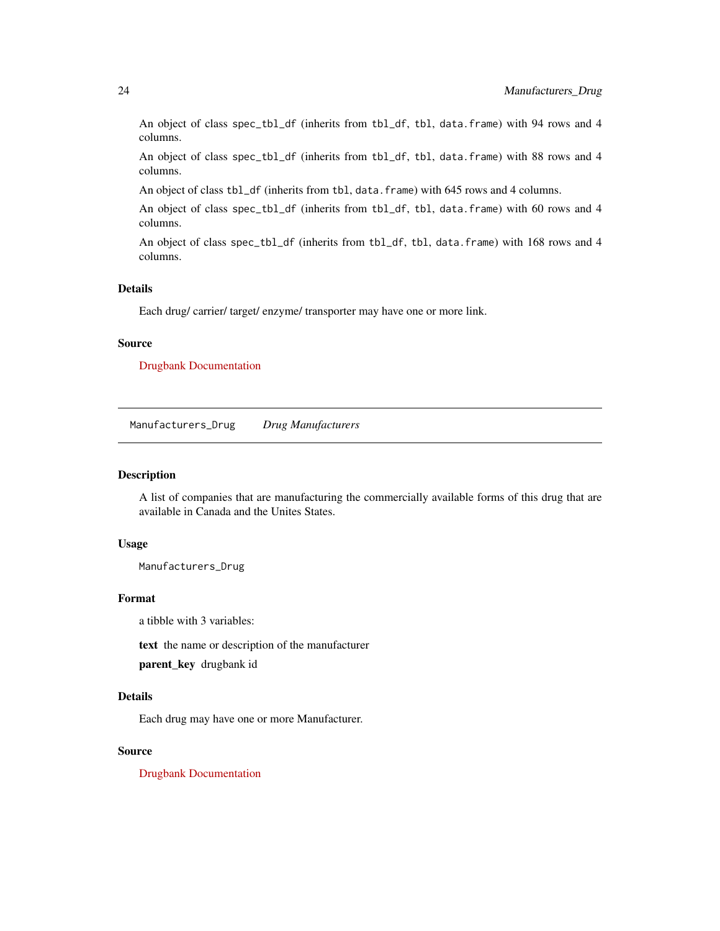<span id="page-23-0"></span>An object of class spec\_tbl\_df (inherits from tbl\_df, tbl, data.frame) with 94 rows and 4 columns.

An object of class spec\_tbl\_df (inherits from tbl\_df, tbl, data.frame) with 88 rows and 4 columns.

An object of class tbl\_df (inherits from tbl, data.frame) with 645 rows and 4 columns.

An object of class spec\_tbl\_df (inherits from tbl\_df, tbl, data.frame) with 60 rows and 4 columns.

An object of class spec\_tbl\_df (inherits from tbl\_df, tbl, data.frame) with 168 rows and 4 columns.

#### Details

Each drug/ carrier/ target/ enzyme/ transporter may have one or more link.

#### Source

[Drugbank Documentation](https://docs.drugbankplus.com/xml/)

Manufacturers\_Drug *Drug Manufacturers*

#### Description

A list of companies that are manufacturing the commercially available forms of this drug that are available in Canada and the Unites States.

# Usage

Manufacturers\_Drug

### Format

a tibble with 3 variables:

text the name or description of the manufacturer

parent\_key drugbank id

#### Details

Each drug may have one or more Manufacturer.

# Source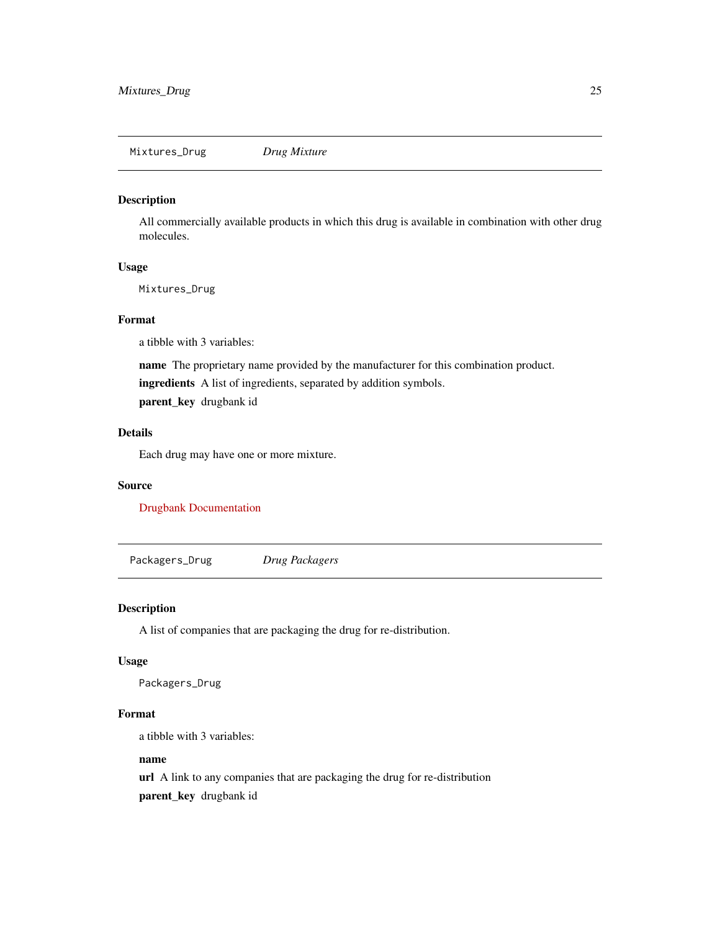<span id="page-24-0"></span>All commercially available products in which this drug is available in combination with other drug molecules.

#### Usage

Mixtures\_Drug

#### Format

a tibble with 3 variables:

name The proprietary name provided by the manufacturer for this combination product.

ingredients A list of ingredients, separated by addition symbols.

parent\_key drugbank id

# Details

Each drug may have one or more mixture.

## Source

[Drugbank Documentation](https://docs.drugbankplus.com/xml/)

Packagers\_Drug *Drug Packagers*

# Description

A list of companies that are packaging the drug for re-distribution.

#### Usage

Packagers\_Drug

#### Format

a tibble with 3 variables:

#### name

url A link to any companies that are packaging the drug for re-distribution parent\_key drugbank id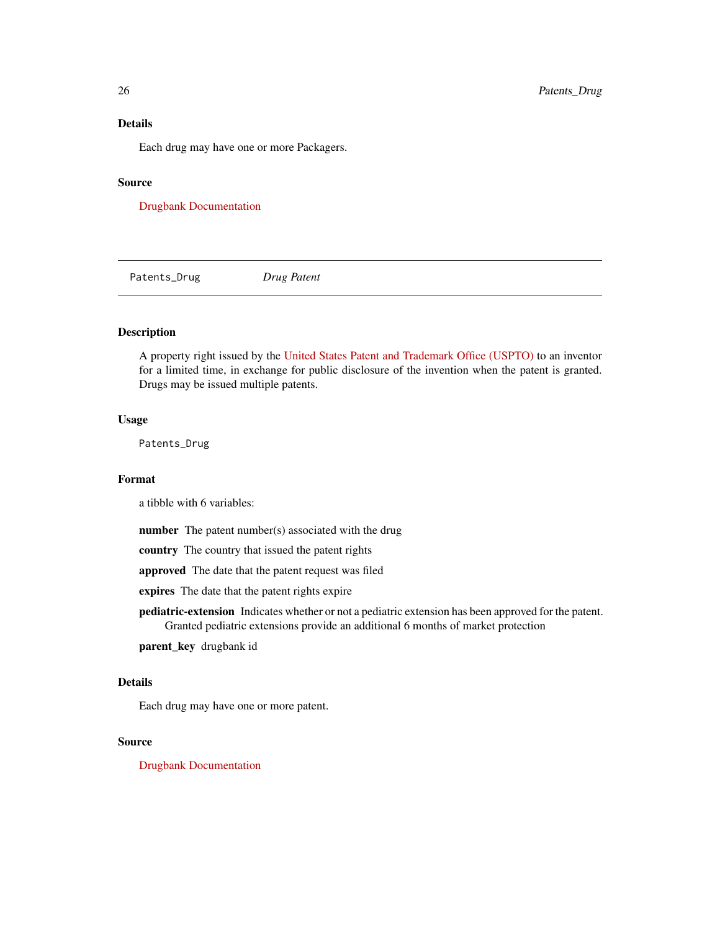# Details

Each drug may have one or more Packagers.

#### Source

[Drugbank Documentation](https://docs.drugbankplus.com/xml/)

Patents\_Drug *Drug Patent*

# Description

A property right issued by the [United States Patent and Trademark Office \(USPTO\)](http://www.uspto.gov/) to an inventor for a limited time, in exchange for public disclosure of the invention when the patent is granted. Drugs may be issued multiple patents.

# Usage

Patents\_Drug

# Format

a tibble with 6 variables:

number The patent number(s) associated with the drug

country The country that issued the patent rights

approved The date that the patent request was filed

expires The date that the patent rights expire

pediatric-extension Indicates whether or not a pediatric extension has been approved for the patent. Granted pediatric extensions provide an additional 6 months of market protection

parent\_key drugbank id

# Details

Each drug may have one or more patent.

#### Source

<span id="page-25-0"></span>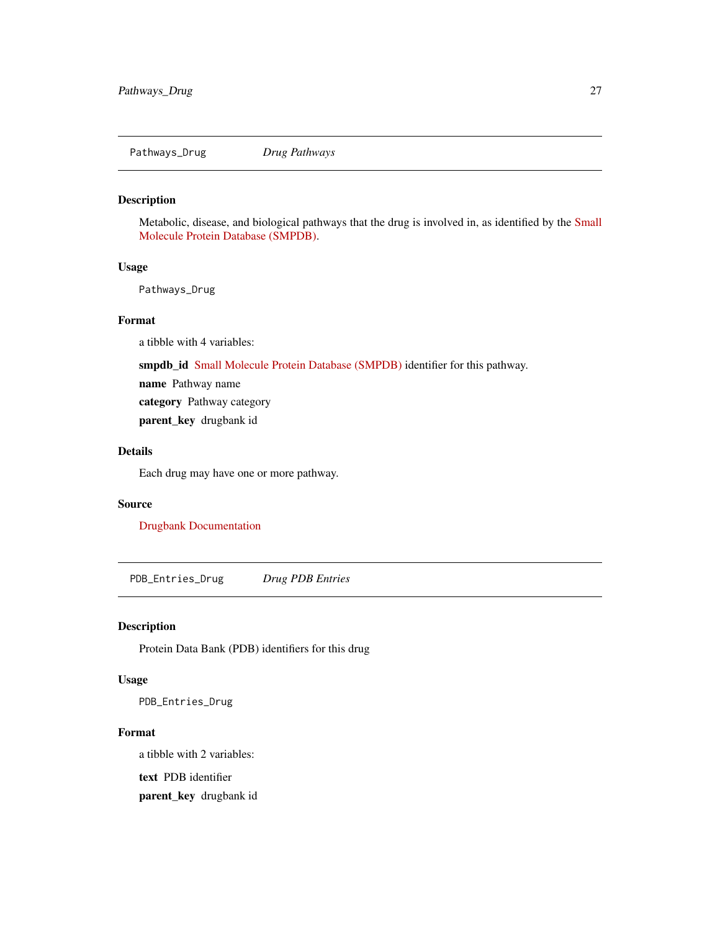<span id="page-26-0"></span>Pathways\_Drug *Drug Pathways*

# Description

Metabolic, disease, and biological pathways that the drug is involved in, as identified by the [Small](https://smpdb.ca/) [Molecule Protein Database \(SMPDB\).](https://smpdb.ca/)

# Usage

Pathways\_Drug

# Format

a tibble with 4 variables:

smpdb\_id [Small Molecule Protein Database \(SMPDB\)](https://smpdb.ca/) identifier for this pathway.

name Pathway name

category Pathway category

parent\_key drugbank id

# Details

Each drug may have one or more pathway.

# Source

[Drugbank Documentation](https://docs.drugbankplus.com/xml/)

PDB\_Entries\_Drug *Drug PDB Entries*

# Description

Protein Data Bank (PDB) identifiers for this drug

# Usage

PDB\_Entries\_Drug

#### Format

a tibble with 2 variables:

text PDB identifier

parent\_key drugbank id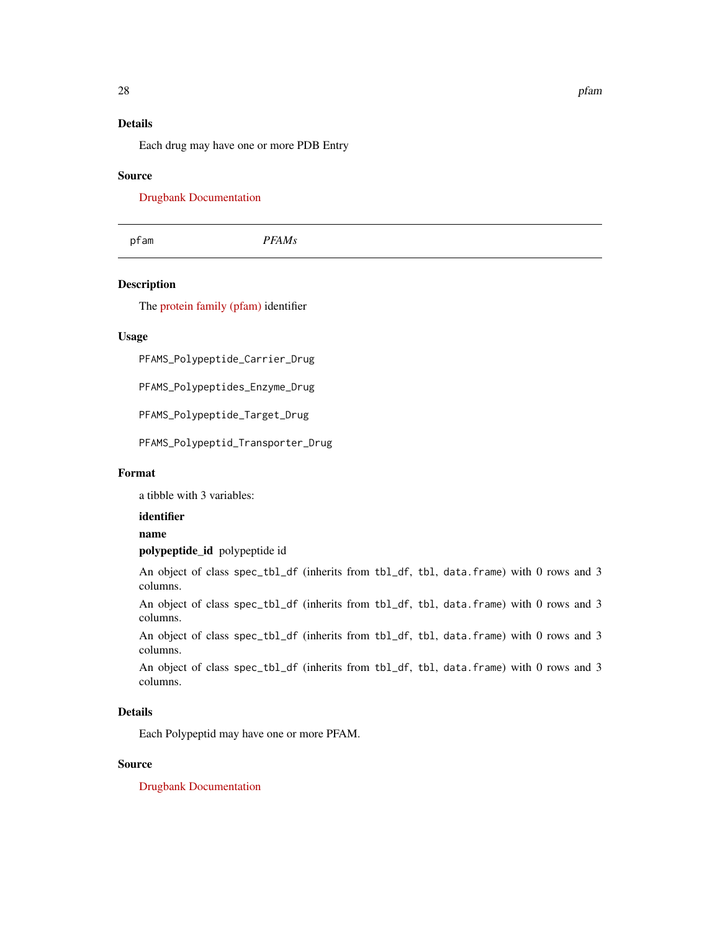# <span id="page-27-0"></span>Details

Each drug may have one or more PDB Entry

#### Source

[Drugbank Documentation](https://docs.drugbankplus.com/xml/)

pfam *PFAMs*

# Description

The [protein family \(pfam\)](http://pfam.xfam.org/) identifier

# Usage

PFAMS\_Polypeptide\_Carrier\_Drug

PFAMS\_Polypeptides\_Enzyme\_Drug

PFAMS\_Polypeptide\_Target\_Drug

PFAMS\_Polypeptid\_Transporter\_Drug

## Format

a tibble with 3 variables:

#### identifier

#### name

polypeptide\_id polypeptide id

An object of class spec\_tbl\_df (inherits from tbl\_df, tbl, data.frame) with 0 rows and 3 columns.

An object of class spec\_tbl\_df (inherits from tbl\_df, tbl, data.frame) with 0 rows and 3 columns.

An object of class spec\_tbl\_df (inherits from tbl\_df, tbl, data.frame) with 0 rows and 3 columns.

An object of class spec\_tbl\_df (inherits from tbl\_df, tbl, data.frame) with 0 rows and 3 columns.

#### Details

Each Polypeptid may have one or more PFAM.

# Source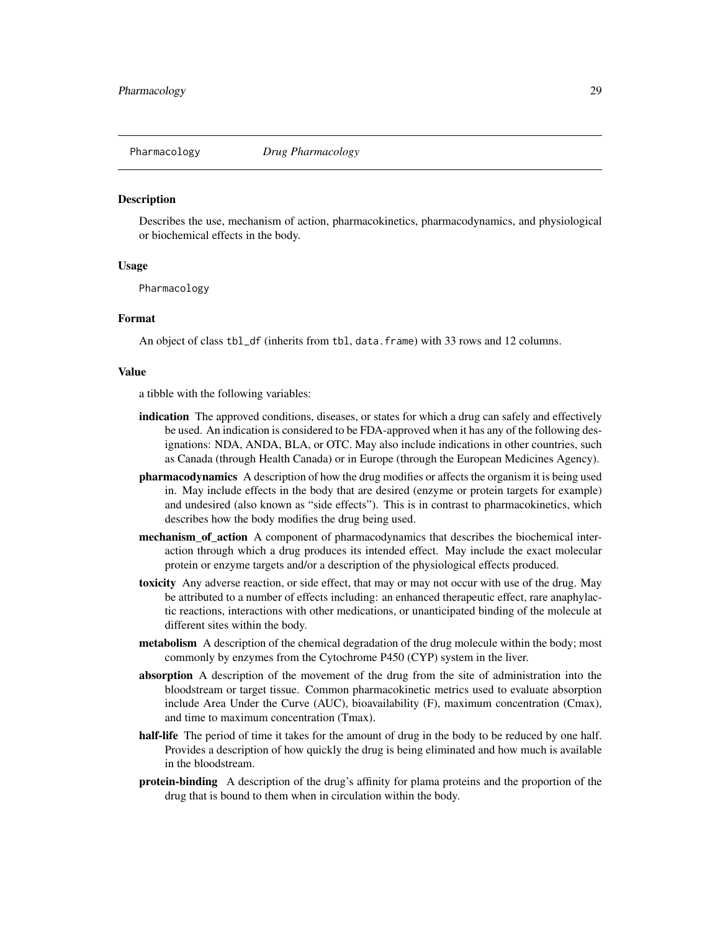<span id="page-28-0"></span>

Describes the use, mechanism of action, pharmacokinetics, pharmacodynamics, and physiological or biochemical effects in the body.

#### Usage

Pharmacology

#### Format

An object of class tbl\_df (inherits from tbl, data.frame) with 33 rows and 12 columns.

#### Value

a tibble with the following variables:

- indication The approved conditions, diseases, or states for which a drug can safely and effectively be used. An indication is considered to be FDA-approved when it has any of the following designations: NDA, ANDA, BLA, or OTC. May also include indications in other countries, such as Canada (through Health Canada) or in Europe (through the European Medicines Agency).
- pharmacodynamics A description of how the drug modifies or affects the organism it is being used in. May include effects in the body that are desired (enzyme or protein targets for example) and undesired (also known as "side effects"). This is in contrast to pharmacokinetics, which describes how the body modifies the drug being used.
- mechanism of action A component of pharmacodynamics that describes the biochemical interaction through which a drug produces its intended effect. May include the exact molecular protein or enzyme targets and/or a description of the physiological effects produced.
- toxicity Any adverse reaction, or side effect, that may or may not occur with use of the drug. May be attributed to a number of effects including: an enhanced therapeutic effect, rare anaphylactic reactions, interactions with other medications, or unanticipated binding of the molecule at different sites within the body.
- **metabolism** A description of the chemical degradation of the drug molecule within the body; most commonly by enzymes from the Cytochrome P450 (CYP) system in the liver.
- absorption A description of the movement of the drug from the site of administration into the bloodstream or target tissue. Common pharmacokinetic metrics used to evaluate absorption include Area Under the Curve (AUC), bioavailability (F), maximum concentration (Cmax), and time to maximum concentration (Tmax).
- half-life The period of time it takes for the amount of drug in the body to be reduced by one half. Provides a description of how quickly the drug is being eliminated and how much is available in the bloodstream.
- **protein-binding** A description of the drug's affinity for plama proteins and the proportion of the drug that is bound to them when in circulation within the body.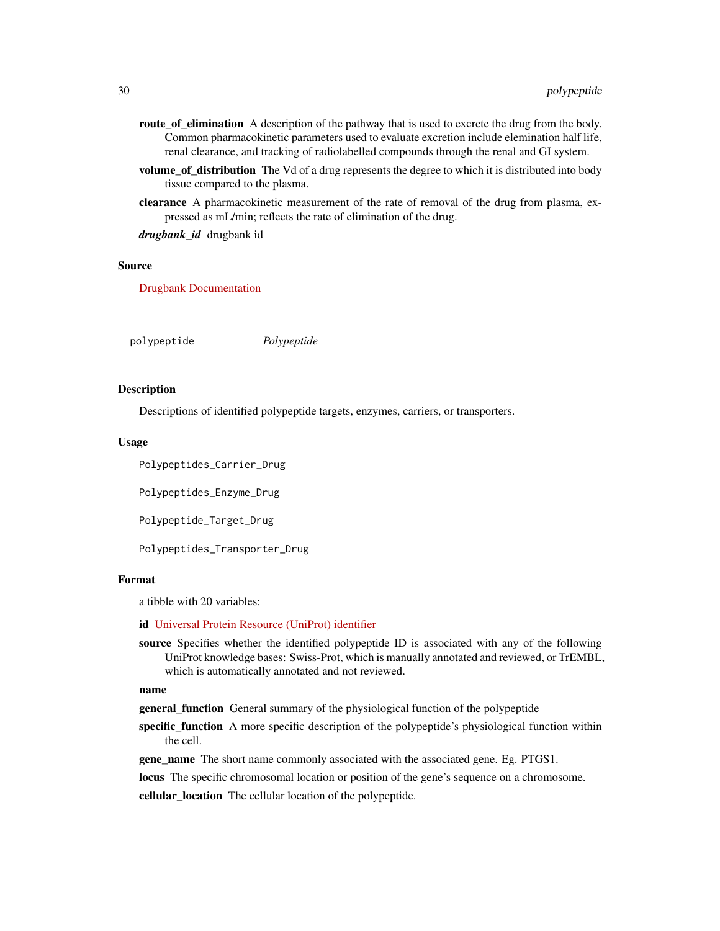- <span id="page-29-0"></span>route\_of\_elimination A description of the pathway that is used to excrete the drug from the body. Common pharmacokinetic parameters used to evaluate excretion include elemination half life, renal clearance, and tracking of radiolabelled compounds through the renal and GI system.
- volume of distribution The Vd of a drug represents the degree to which it is distributed into body tissue compared to the plasma.
- clearance A pharmacokinetic measurement of the rate of removal of the drug from plasma, expressed as mL/min; reflects the rate of elimination of the drug.

*drugbank\_id* drugbank id

#### Source

[Drugbank Documentation](https://docs.drugbankplus.com/xml/)

|--|

#### **Description**

Descriptions of identified polypeptide targets, enzymes, carriers, or transporters.

#### Usage

Polypeptides\_Carrier\_Drug

Polypeptides\_Enzyme\_Drug

Polypeptide\_Target\_Drug

Polypeptides\_Transporter\_Drug

#### Format

a tibble with 20 variables:

#### id [Universal Protein Resource \(UniProt\) identifier](https://www.uniprot.org/)

source Specifies whether the identified polypeptide ID is associated with any of the following UniProt knowledge bases: Swiss-Prot, which is manually annotated and reviewed, or TrEMBL, which is automatically annotated and not reviewed.

#### name

general\_function General summary of the physiological function of the polypeptide

- specific\_function A more specific description of the polypeptide's physiological function within the cell.
- gene\_name The short name commonly associated with the associated gene. Eg. PTGS1.

locus The specific chromosomal location or position of the gene's sequence on a chromosome.

cellular\_location The cellular location of the polypeptide.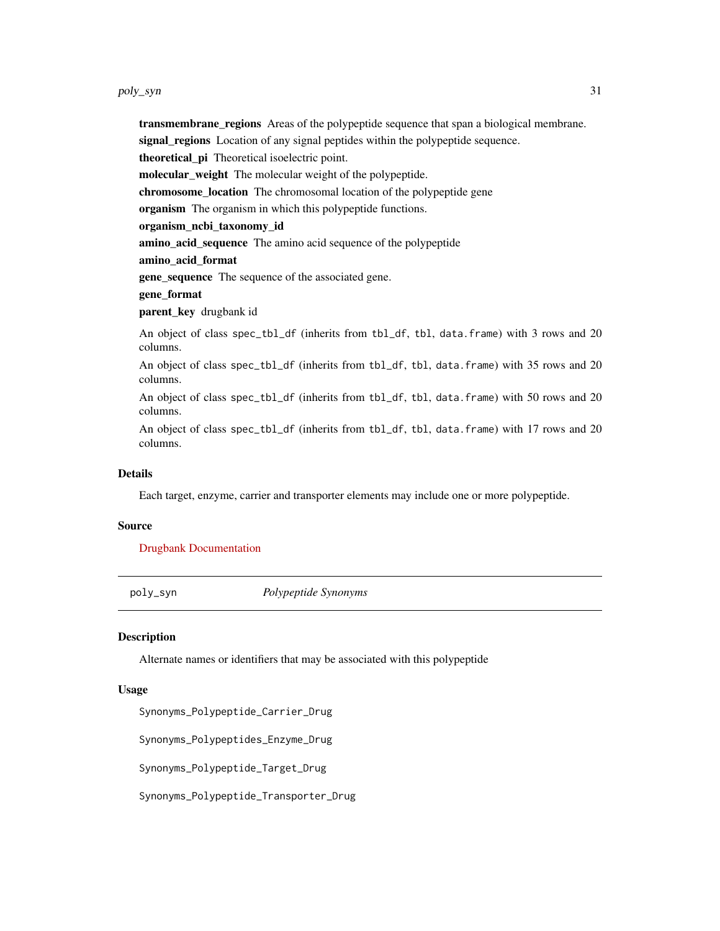<span id="page-30-0"></span>**transmembrane\_regions** Areas of the polypeptide sequence that span a biological membrane. signal\_regions Location of any signal peptides within the polypeptide sequence. theoretical pi Theoretical isoelectric point. molecular\_weight The molecular weight of the polypeptide. chromosome\_location The chromosomal location of the polypeptide gene organism The organism in which this polypeptide functions. organism\_ncbi\_taxonomy\_id amino\_acid\_sequence The amino acid sequence of the polypeptide amino\_acid\_format gene\_sequence The sequence of the associated gene. gene\_format parent\_key drugbank id An object of class spec\_tbl\_df (inherits from tbl\_df, tbl, data.frame) with 3 rows and 20 columns. An object of class spec\_tbl\_df (inherits from tbl\_df, tbl, data.frame) with 35 rows and 20 columns.

An object of class spec\_tbl\_df (inherits from tbl\_df, tbl, data.frame) with 50 rows and 20 columns.

An object of class spec\_tbl\_df (inherits from tbl\_df, tbl, data.frame) with 17 rows and 20 columns.

#### Details

Each target, enzyme, carrier and transporter elements may include one or more polypeptide.

#### Source

[Drugbank Documentation](https://docs.drugbankplus.com/xml/)

poly\_syn *Polypeptide Synonyms*

#### **Description**

Alternate names or identifiers that may be associated with this polypeptide

#### Usage

Synonyms\_Polypeptide\_Carrier\_Drug

Synonyms\_Polypeptides\_Enzyme\_Drug

Synonyms\_Polypeptide\_Target\_Drug

Synonyms\_Polypeptide\_Transporter\_Drug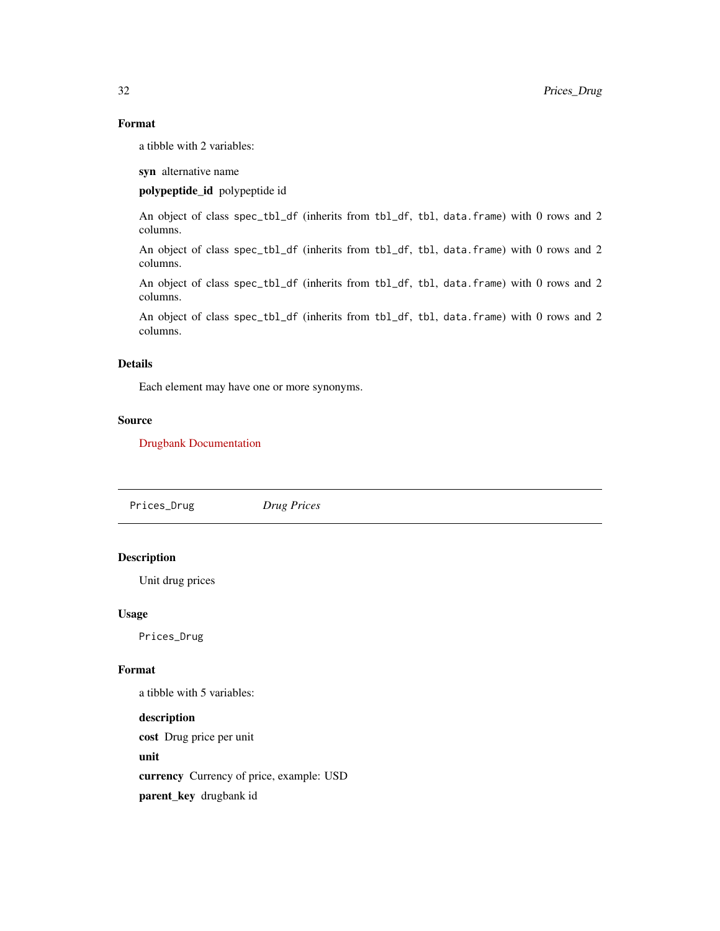# Format

a tibble with 2 variables:

syn alternative name

# polypeptide\_id polypeptide id

An object of class spec\_tbl\_df (inherits from tbl\_df, tbl, data.frame) with 0 rows and 2 columns.

An object of class spec\_tbl\_df (inherits from tbl\_df, tbl, data.frame) with 0 rows and 2 columns.

An object of class spec\_tbl\_df (inherits from tbl\_df, tbl, data.frame) with 0 rows and 2 columns.

An object of class spec\_tbl\_df (inherits from tbl\_df, tbl, data.frame) with 0 rows and 2 columns.

# Details

Each element may have one or more synonyms.

# Source

[Drugbank Documentation](https://docs.drugbankplus.com/xml/)

Prices\_Drug *Drug Prices*

# Description

Unit drug prices

#### Usage

Prices\_Drug

#### Format

a tibble with 5 variables:

description cost Drug price per unit unit currency Currency of price, example: USD parent\_key drugbank id

<span id="page-31-0"></span>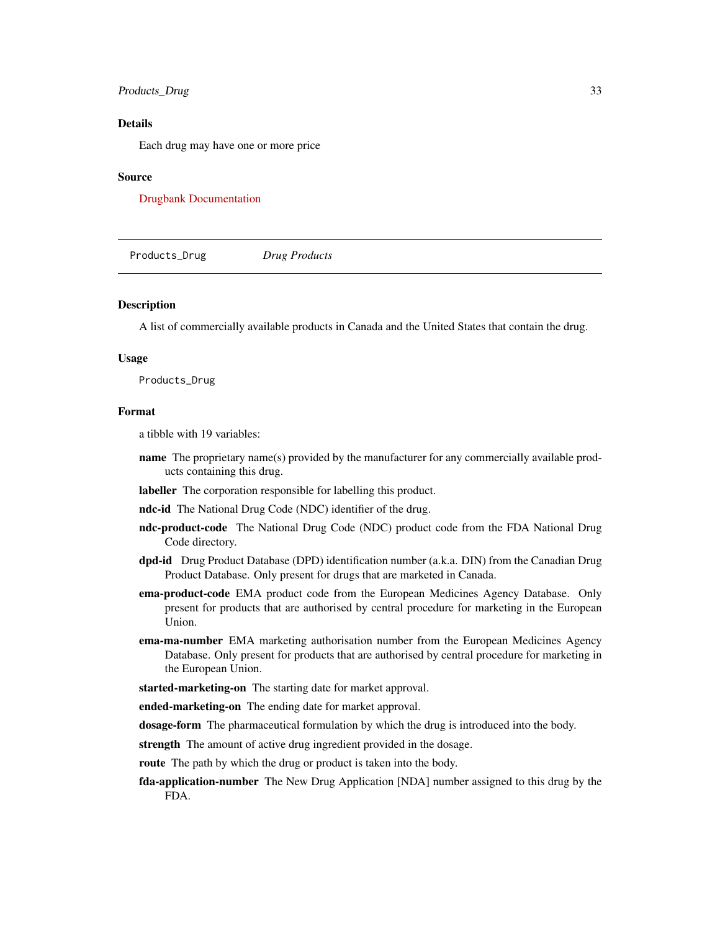#### <span id="page-32-0"></span>Products\_Drug 33

#### Details

Each drug may have one or more price

#### Source

[Drugbank Documentation](https://docs.drugbankplus.com/xml/)

Products\_Drug *Drug Products*

# Description

A list of commercially available products in Canada and the United States that contain the drug.

#### Usage

Products\_Drug

#### Format

a tibble with 19 variables:

name The proprietary name(s) provided by the manufacturer for any commercially available products containing this drug.

labeller The corporation responsible for labelling this product.

ndc-id The National Drug Code (NDC) identifier of the drug.

- ndc-product-code The National Drug Code (NDC) product code from the FDA National Drug Code directory.
- dpd-id Drug Product Database (DPD) identification number (a.k.a. DIN) from the Canadian Drug Product Database. Only present for drugs that are marketed in Canada.
- ema-product-code EMA product code from the European Medicines Agency Database. Only present for products that are authorised by central procedure for marketing in the European Union.
- ema-ma-number EMA marketing authorisation number from the European Medicines Agency Database. Only present for products that are authorised by central procedure for marketing in the European Union.
- started-marketing-on The starting date for market approval.

ended-marketing-on The ending date for market approval.

dosage-form The pharmaceutical formulation by which the drug is introduced into the body.

strength The amount of active drug ingredient provided in the dosage.

route The path by which the drug or product is taken into the body.

fda-application-number The New Drug Application [NDA] number assigned to this drug by the FDA.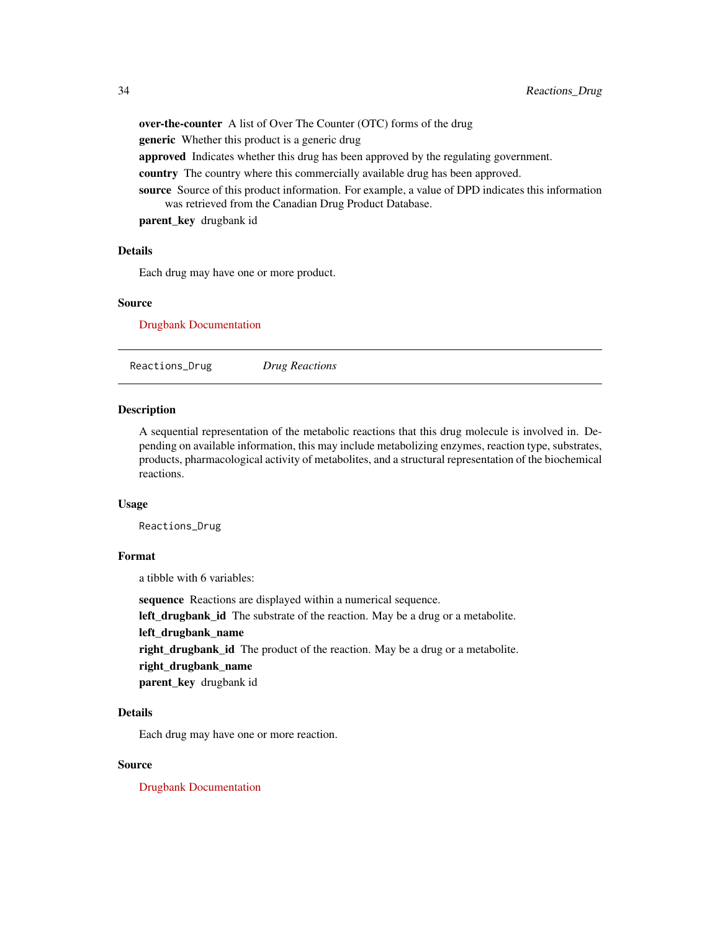<span id="page-33-0"></span>over-the-counter A list of Over The Counter (OTC) forms of the drug **generic** Whether this product is a generic drug approved Indicates whether this drug has been approved by the regulating government. country The country where this commercially available drug has been approved. source Source of this product information. For example, a value of DPD indicates this information was retrieved from the Canadian Drug Product Database.

parent\_key drugbank id

## Details

Each drug may have one or more product.

#### Source

[Drugbank Documentation](https://docs.drugbankplus.com/xml/)

Reactions\_Drug *Drug Reactions*

#### Description

A sequential representation of the metabolic reactions that this drug molecule is involved in. Depending on available information, this may include metabolizing enzymes, reaction type, substrates, products, pharmacological activity of metabolites, and a structural representation of the biochemical reactions.

# Usage

Reactions\_Drug

# Format

a tibble with 6 variables:

sequence Reactions are displayed within a numerical sequence.

left\_drugbank\_id The substrate of the reaction. May be a drug or a metabolite.

# left\_drugbank\_name

right\_drugbank\_id The product of the reaction. May be a drug or a metabolite.

right\_drugbank\_name

parent\_key drugbank id

#### Details

Each drug may have one or more reaction.

#### Source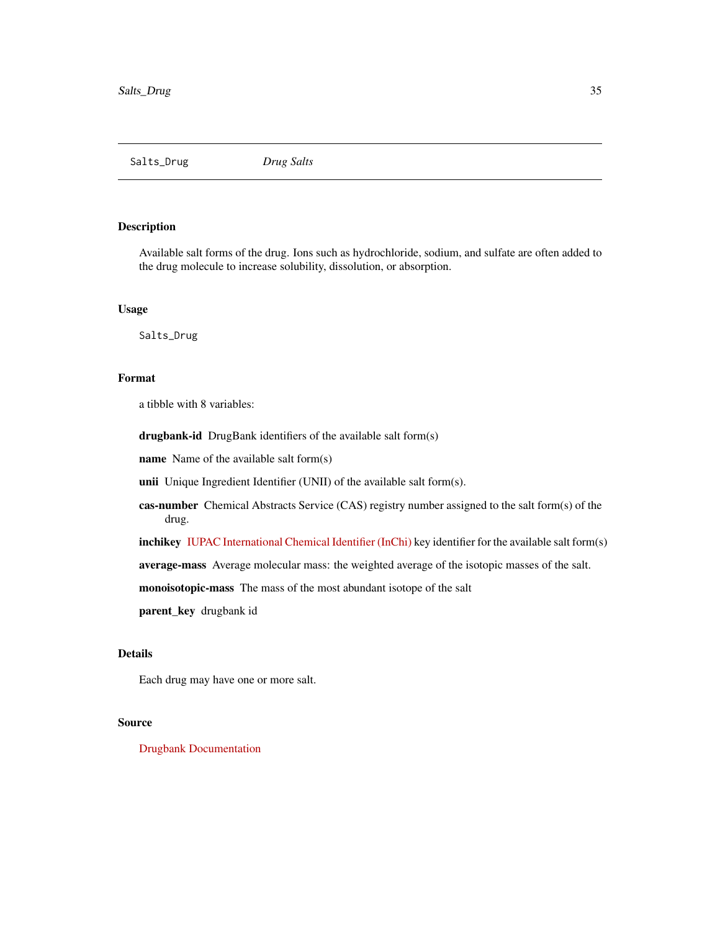<span id="page-34-0"></span>Salts\_Drug *Drug Salts*

## Description

Available salt forms of the drug. Ions such as hydrochloride, sodium, and sulfate are often added to the drug molecule to increase solubility, dissolution, or absorption.

## Usage

Salts\_Drug

# Format

a tibble with 8 variables:

drugbank-id DrugBank identifiers of the available salt form(s)

name Name of the available salt form(s)

unii Unique Ingredient Identifier (UNII) of the available salt form(s).

cas-number Chemical Abstracts Service (CAS) registry number assigned to the salt form(s) of the drug.

inchikey [IUPAC International Chemical Identifier \(InChi\)](https://www.inchi-trust.org/) key identifier for the available salt form(s)

average-mass Average molecular mass: the weighted average of the isotopic masses of the salt.

monoisotopic-mass The mass of the most abundant isotope of the salt

parent\_key drugbank id

# Details

Each drug may have one or more salt.

#### Source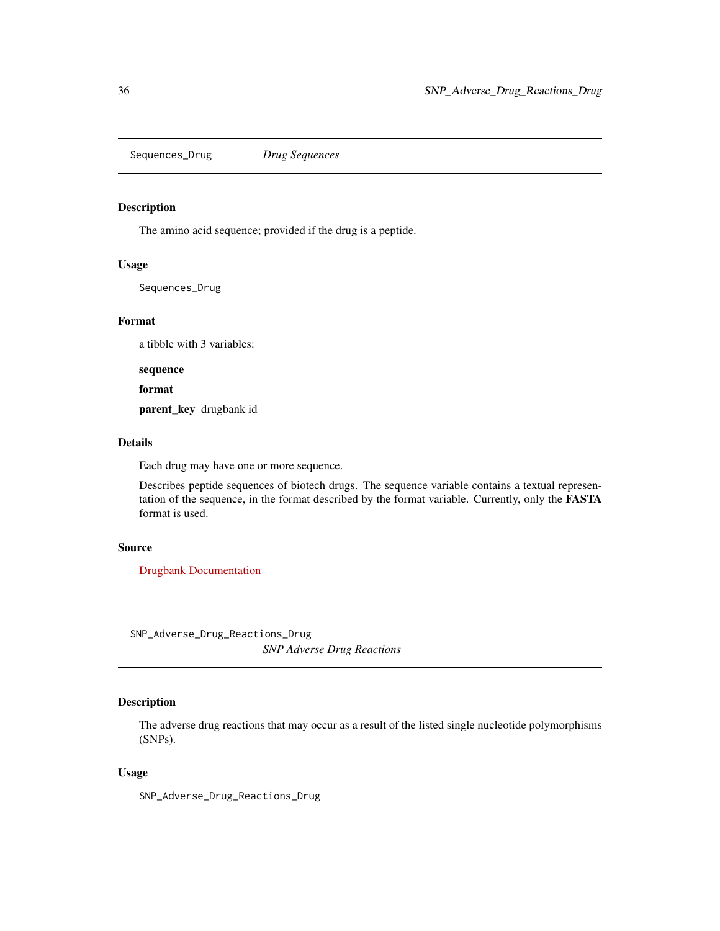<span id="page-35-0"></span>Sequences\_Drug *Drug Sequences*

# Description

The amino acid sequence; provided if the drug is a peptide.

# Usage

Sequences\_Drug

# Format

a tibble with 3 variables:

sequence

format

parent\_key drugbank id

# Details

Each drug may have one or more sequence.

Describes peptide sequences of biotech drugs. The sequence variable contains a textual representation of the sequence, in the format described by the format variable. Currently, only the FASTA format is used.

# Source

[Drugbank Documentation](https://docs.drugbankplus.com/xml/)

SNP\_Adverse\_Drug\_Reactions\_Drug *SNP Adverse Drug Reactions*

# Description

The adverse drug reactions that may occur as a result of the listed single nucleotide polymorphisms (SNPs).

#### Usage

SNP\_Adverse\_Drug\_Reactions\_Drug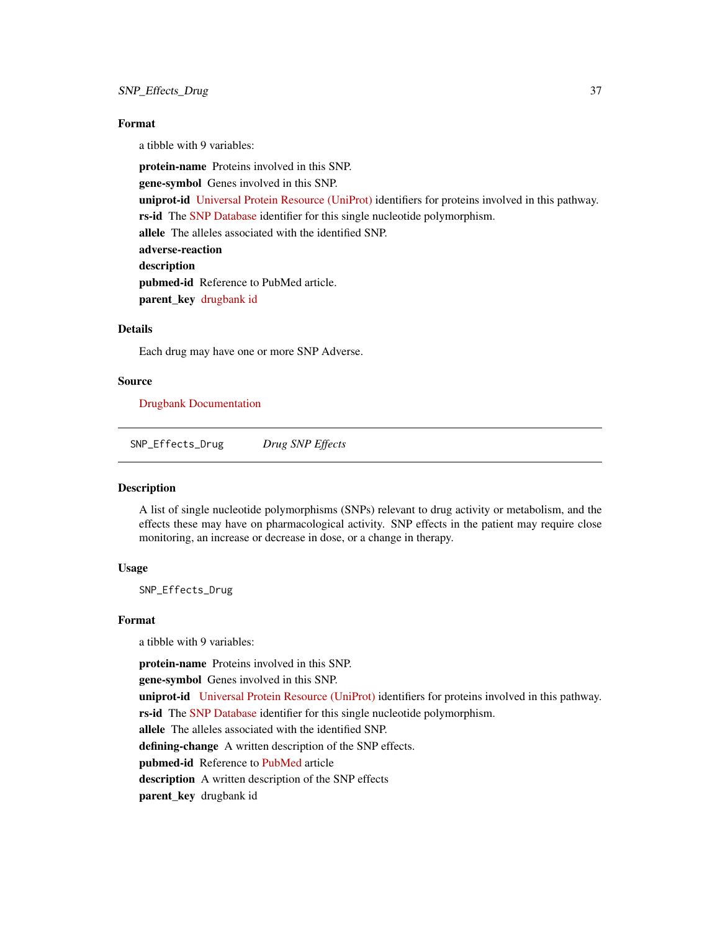# <span id="page-36-0"></span>Format

a tibble with 9 variables:

protein-name Proteins involved in this SNP.

gene-symbol Genes involved in this SNP.

uniprot-id [Universal Protein Resource \(UniProt\)](https://www.uniprot.org/) identifiers for proteins involved in this pathway.

rs-id The [SNP Database](https://www.ncbi.nlm.nih.gov/projects/SNP/) identifier for this single nucleotide polymorphism.

allele The alleles associated with the identified SNP.

adverse-reaction

description

pubmed-id Reference to PubMed article.

parent\_key [drugbank id](https://www.ncbi.nlm.nih.gov/)

# Details

Each drug may have one or more SNP Adverse.

#### Source

[Drugbank Documentation](https://docs.drugbankplus.com/xml/)

SNP\_Effects\_Drug *Drug SNP Effects*

#### Description

A list of single nucleotide polymorphisms (SNPs) relevant to drug activity or metabolism, and the effects these may have on pharmacological activity. SNP effects in the patient may require close monitoring, an increase or decrease in dose, or a change in therapy.

#### Usage

SNP\_Effects\_Drug

#### Format

a tibble with 9 variables:

protein-name Proteins involved in this SNP.

gene-symbol Genes involved in this SNP.

uniprot-id [Universal Protein Resource \(UniProt\)](https://www.uniprot.org/) identifiers for proteins involved in this pathway.

rs-id The [SNP Database](https://www.ncbi.nlm.nih.gov/projects/SNP/) identifier for this single nucleotide polymorphism.

allele The alleles associated with the identified SNP.

defining-change A written description of the SNP effects.

pubmed-id Reference to [PubMed](https://www.ncbi.nlm.nih.gov) article

description A written description of the SNP effects

parent\_key drugbank id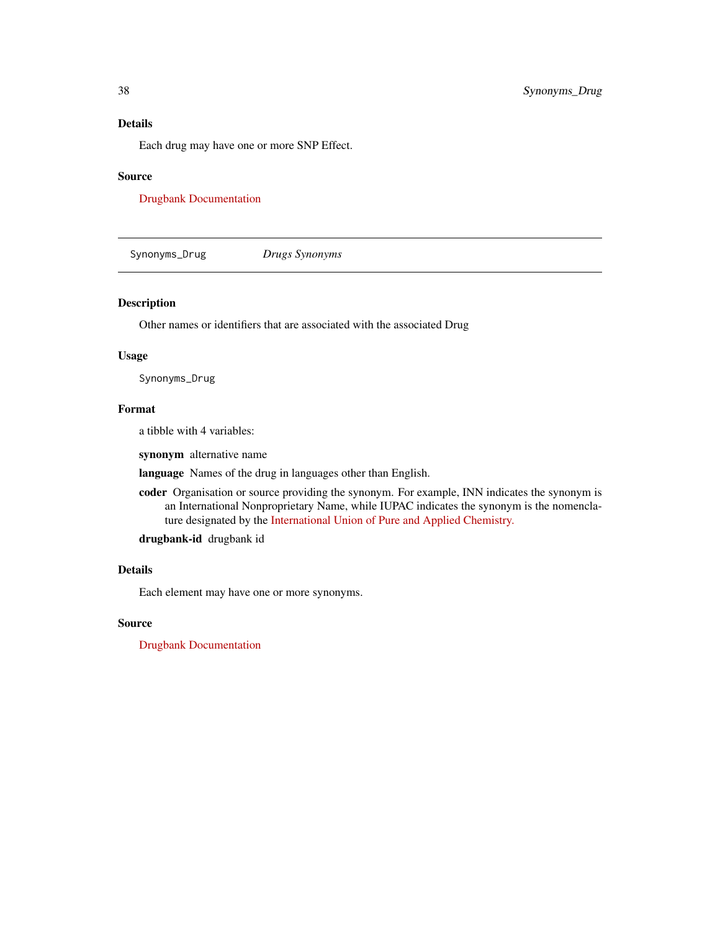## <span id="page-37-0"></span>Details

Each drug may have one or more SNP Effect.

#### Source

[Drugbank Documentation](https://docs.drugbankplus.com/xml/)

Synonyms\_Drug *Drugs Synonyms*

# Description

Other names or identifiers that are associated with the associated Drug

#### Usage

Synonyms\_Drug

#### Format

a tibble with 4 variables:

synonym alternative name

language Names of the drug in languages other than English.

coder Organisation or source providing the synonym. For example, INN indicates the synonym is an International Nonproprietary Name, while IUPAC indicates the synonym is the nomenclature designated by the [International Union of Pure and Applied Chemistry.](https://iupac.org/)

drugbank-id drugbank id

# Details

Each element may have one or more synonyms.

#### Source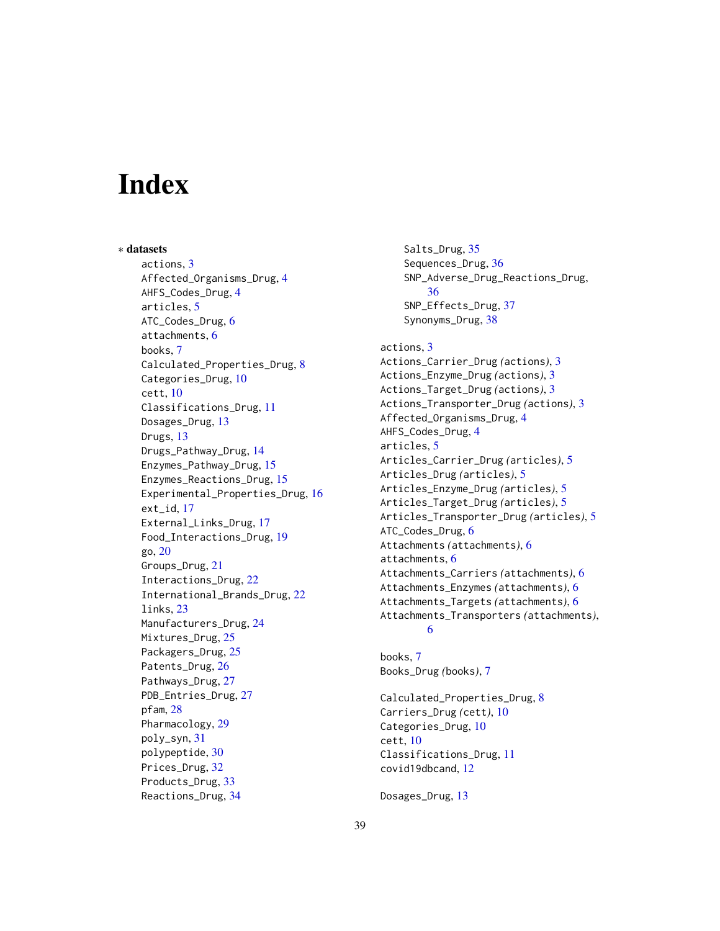# <span id="page-38-0"></span>**Index**

∗ datasets actions, [3](#page-2-0) Affected\_Organisms\_Drug, [4](#page-3-0) AHFS\_Codes\_Drug, [4](#page-3-0) articles, [5](#page-4-0) ATC\_Codes\_Drug, [6](#page-5-0) attachments, [6](#page-5-0) books, [7](#page-6-0) Calculated\_Properties\_Drug, [8](#page-7-0) Categories\_Drug, [10](#page-9-0) cett, [10](#page-9-0) Classifications\_Drug, [11](#page-10-0) Dosages\_Drug, [13](#page-12-0) Drugs, [13](#page-12-0) Drugs\_Pathway\_Drug, [14](#page-13-0) Enzymes\_Pathway\_Drug, [15](#page-14-0) Enzymes\_Reactions\_Drug, [15](#page-14-0) Experimental\_Properties\_Drug, [16](#page-15-0) ext\_id, [17](#page-16-0) External\_Links\_Drug, [17](#page-16-0) Food\_Interactions\_Drug, [19](#page-18-0) go, [20](#page-19-0) Groups\_Drug, [21](#page-20-0) Interactions\_Drug, [22](#page-21-0) International\_Brands\_Drug, [22](#page-21-0) links, [23](#page-22-0) Manufacturers\_Drug, [24](#page-23-0) Mixtures\_Drug, [25](#page-24-0) Packagers\_Drug, [25](#page-24-0) Patents\_Drug, [26](#page-25-0) Pathways\_Drug, [27](#page-26-0) PDB\_Entries\_Drug, [27](#page-26-0) pfam, [28](#page-27-0) Pharmacology, [29](#page-28-0) poly\_syn, [31](#page-30-0) polypeptide, [30](#page-29-0) Prices\_Drug, [32](#page-31-0) Products\_Drug, [33](#page-32-0) Reactions\_Drug, [34](#page-33-0)

Salts\_Drug, [35](#page-34-0) Sequences\_Drug, [36](#page-35-0) SNP\_Adverse\_Drug\_Reactions\_Drug, [36](#page-35-0) SNP\_Effects\_Drug, [37](#page-36-0) Synonyms\_Drug, [38](#page-37-0)

actions, [3](#page-2-0) Actions\_Carrier\_Drug *(*actions*)*, [3](#page-2-0) Actions\_Enzyme\_Drug *(*actions*)*, [3](#page-2-0) Actions\_Target\_Drug *(*actions*)*, [3](#page-2-0) Actions\_Transporter\_Drug *(*actions*)*, [3](#page-2-0) Affected\_Organisms\_Drug, [4](#page-3-0) AHFS\_Codes\_Drug, [4](#page-3-0) articles, [5](#page-4-0) Articles\_Carrier\_Drug *(*articles*)*, [5](#page-4-0) Articles\_Drug *(*articles*)*, [5](#page-4-0) Articles\_Enzyme\_Drug *(*articles*)*, [5](#page-4-0) Articles\_Target\_Drug *(*articles*)*, [5](#page-4-0) Articles\_Transporter\_Drug *(*articles*)*, [5](#page-4-0) ATC\_Codes\_Drug, [6](#page-5-0) Attachments *(*attachments*)*, [6](#page-5-0) attachments, [6](#page-5-0) Attachments\_Carriers *(*attachments*)*, [6](#page-5-0) Attachments\_Enzymes *(*attachments*)*, [6](#page-5-0) Attachments\_Targets *(*attachments*)*, [6](#page-5-0) Attachments\_Transporters *(*attachments*)*, [6](#page-5-0)

books, [7](#page-6-0) Books\_Drug *(*books*)*, [7](#page-6-0)

Calculated\_Properties\_Drug, [8](#page-7-0) Carriers\_Drug *(*cett*)*, [10](#page-9-0) Categories\_Drug, [10](#page-9-0) cett, [10](#page-9-0) Classifications\_Drug, [11](#page-10-0) covid19dbcand, [12](#page-11-0)

Dosages\_Drug, [13](#page-12-0)